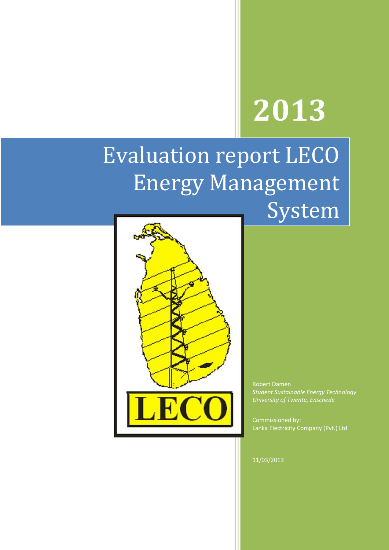# **2013**

# Evaluation report LECO Energy Management System



Robert Damen *Student Sustainable Energy Technology University of Twente, Enschede*

Commissioned by: Lanka Electricity Company (Pvt.) Ltd

11/03/2013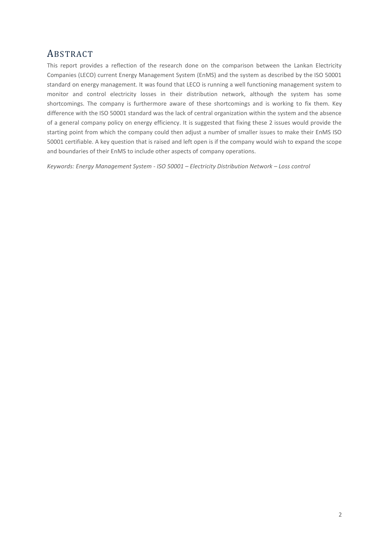# <span id="page-1-0"></span>ABSTRACT

This report provides a reflection of the research done on the comparison between the Lankan Electricity Companies (LECO) current Energy Management System (EnMS) and the system as described by the ISO 50001 standard on energy management. It was found that LECO is running a well functioning management system to monitor and control electricity losses in their distribution network, although the system has some shortcomings. The company is furthermore aware of these shortcomings and is working to fix them. Key difference with the ISO 50001 standard was the lack of central organization within the system and the absence of a general company policy on energy efficiency. It is suggested that fixing these 2 issues would provide the starting point from which the company could then adjust a number of smaller issues to make their EnMS ISO 50001 certifiable. A key question that is raised and left open is if the company would wish to expand the scope and boundaries of their EnMS to include other aspects of company operations.

*Keywords: Energy Management System - ISO 50001 – Electricity Distribution Network – Loss control*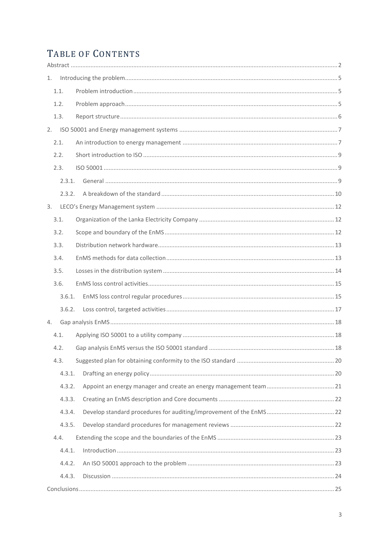# TABLE OF CONTENTS

| 1.     |  |
|--------|--|
| 1.1.   |  |
| 1.2.   |  |
| 1.3.   |  |
|        |  |
| 2.1.   |  |
| 2.2.   |  |
| 2.3.   |  |
| 2.3.1. |  |
| 2.3.2. |  |
| 3.     |  |
| 3.1.   |  |
| 3.2.   |  |
| 3.3.   |  |
| 3.4.   |  |
| 3.5.   |  |
| 3.6.   |  |
| 3.6.1. |  |
| 3.6.2. |  |
| 4.     |  |
| 4.1.   |  |
| 4.2.   |  |
| 4.3.   |  |
| 4.3.1. |  |
| 4.3.2. |  |
| 4.3.3. |  |
| 4.3.4. |  |
| 4.3.5. |  |
| 4.4.   |  |
| 4.4.1. |  |
| 4.4.2. |  |
| 4.4.3. |  |
|        |  |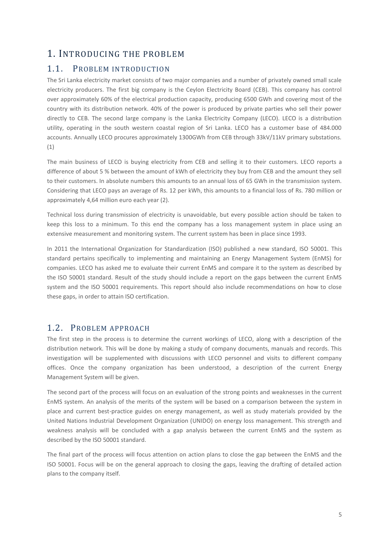## <span id="page-4-0"></span>1. INTRODUCING THE PROBLEM

## <span id="page-4-1"></span>1.1. PROBLEM INTRODUCTION

The Sri Lanka electricity market consists of two major companies and a number of privately owned small scale electricity producers. The first big company is the Ceylon Electricity Board (CEB). This company has control over approximately 60% of the electrical production capacity, producing 6500 GWh and covering most of the country with its distribution network. 40% of the power is produced by private parties who sell their power directly to CEB. The second large company is the Lanka Electricity Company (LECO). LECO is a distribution utility, operating in the south western coastal region of Sri Lanka. LECO has a customer base of 484.000 accounts. Annually LECO procures approximately 1300GWh from CEB through 33kV/11kV primary substations. (1)

The main business of LECO is buying electricity from CEB and selling it to their customers. LECO reports a difference of about 5 % between the amount of kWh of electricity they buy from CEB and the amount they sell to their customers. In absolute numbers this amounts to an annual loss of 65 GWh in the transmission system. Considering that LECO pays an average of Rs. 12 per kWh, this amounts to a financial loss of Rs. 780 million or approximately 4,64 million euro each year (2).

Technical loss during transmission of electricity is unavoidable, but every possible action should be taken to keep this loss to a minimum. To this end the company has a loss management system in place using an extensive measurement and monitoring system. The current system has been in place since 1993.

In 2011 the International Organization for Standardization (ISO) published a new standard, ISO 50001. This standard pertains specifically to implementing and maintaining an Energy Management System (EnMS) for companies. LECO has asked me to evaluate their current EnMS and compare it to the system as described by the ISO 50001 standard. Result of the study should include a report on the gaps between the current EnMS system and the ISO 50001 requirements. This report should also include recommendations on how to close these gaps, in order to attain ISO certification.

## <span id="page-4-2"></span>1.2. PROBLEM APPROACH

The first step in the process is to determine the current workings of LECO, along with a description of the distribution network. This will be done by making a study of company documents, manuals and records. This investigation will be supplemented with discussions with LECO personnel and visits to different company offices. Once the company organization has been understood, a description of the current Energy Management System will be given.

The second part of the process will focus on an evaluation of the strong points and weaknesses in the current EnMS system. An analysis of the merits of the system will be based on a comparison between the system in place and current best-practice guides on energy management, as well as study materials provided by the United Nations Industrial Development Organization (UNIDO) on energy loss management. This strength and weakness analysis will be concluded with a gap analysis between the current EnMS and the system as described by the ISO 50001 standard.

The final part of the process will focus attention on action plans to close the gap between the EnMS and the ISO 50001. Focus will be on the general approach to closing the gaps, leaving the drafting of detailed action plans to the company itself.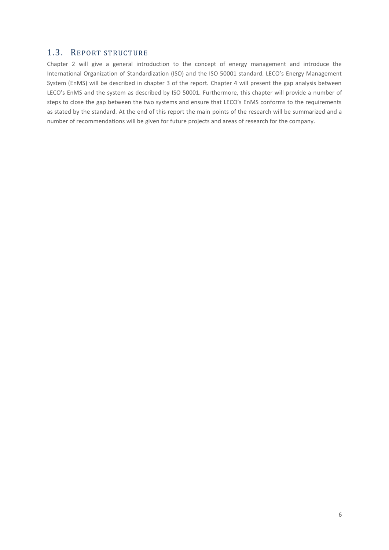## <span id="page-5-0"></span>1.3. REPORT STRUCTURE

Chapter 2 will give a general introduction to the concept of energy management and introduce the International Organization of Standardization (ISO) and the ISO 50001 standard. LECO's Energy Management System (EnMS) will be described in chapter 3 of the report. Chapter 4 will present the gap analysis between LECO's EnMS and the system as described by ISO 50001. Furthermore, this chapter will provide a number of steps to close the gap between the two systems and ensure that LECO's EnMS conforms to the requirements as stated by the standard. At the end of this report the main points of the research will be summarized and a number of recommendations will be given for future projects and areas of research for the company.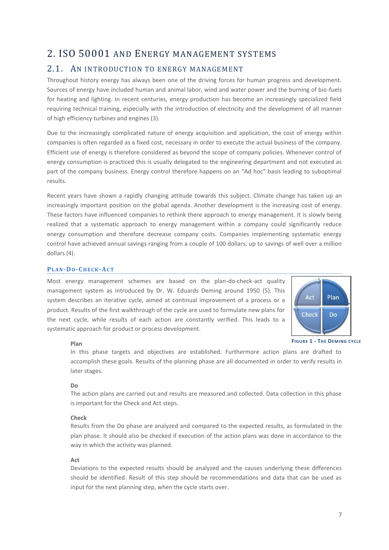# <span id="page-6-0"></span>2. ISO 50001 AND ENERGY MANAGEMENT SYSTEMS

## <span id="page-6-1"></span>2.1. AN INTRODUCTION TO ENERGY MANAGEMENT

Throughout history energy has always been one of the driving forces for human progress and development. Sources of energy have included human and animal labor, wind and water power and the burning of bio-fuels for heating and lighting. In recent centuries, energy production has become an increasingly specialized field requiring technical training, especially with the introduction of electricity and the development of all manner of high efficiency turbines and engines (3).

Due to the increasingly complicated nature of energy acquisition and application, the cost of energy within companies is often regarded as a fixed cost, necessary in order to execute the actual business of the company. Efficient use of energy is therefore considered as beyond the scope of company policies. Whenever control of energy consumption is practiced this is usually delegated to the engineering department and not executed as part of the company business. Energy control therefore happens on an "Ad hoc" basis leading to suboptimal results.

Recent years have shown a rapidly changing attitude towards this subject. Climate change has taken up an increasingly important position on the global agenda. Another development is the increasing cost of energy. These factors have influenced companies to rethink there approach to energy management. It is slowly being realized that a systematic approach to energy management within a company could significantly reduce energy consumption and therefore decrease company costs. Companies implementing systematic energy control have achieved annual savings ranging from a couple of 100 dollars, up to savings of well over a million dollars (4).

#### **PL A N-DO-CH E C K-AC T**

Most energy management schemes are based on the plan-do-check-act quality management system as introduced by Dr. W. Eduards Deming around 1950 (5). This system describes an iterative cycle, aimed at continual improvement of a process or a product. Results of the first walkthrough of the cycle are used to formulate new plans for the next cycle, while results of each action are constantly verified. This leads to a systematic approach for product or process development.



**FIGURE 1 - THE DEMING CYCLE**

#### **Plan**

In this phase targets and objectives are established. Furthermore action plans are drafted to accomplish these goals. Results of the planning phase are all documented in order to verify results in later stages.

#### **Do**

The action plans are carried out and results are measured and collected. Data collection in this phase is important for the Check and Act steps.

#### **Check**

Results from the Do phase are analyzed and compared to the expected results, as formulated in the plan phase. It should also be checked if execution of the action plans was done in accordance to the way in which the activity was planned.

#### **Act**

Deviations to the expected results should be analyzed and the causes underlying these differences should be identified. Result of this step should be recommendations and data that can be used as input for the next planning step, when the cycle starts over.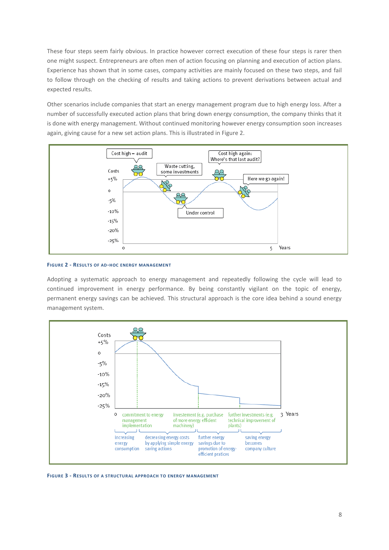These four steps seem fairly obvious. In practice however correct execution of these four steps is rarer then one might suspect. Entrepreneurs are often men of action focusing on planning and execution of action plans. Experience has shown that in some cases, company activities are mainly focused on these two steps, and fail to follow through on the checking of results and taking actions to prevent derivations between actual and expected results.

Other scenarios include companies that start an energy management program due to high energy loss. After a number of successfully executed action plans that bring down energy consumption, the company thinks that it is done with energy management. Without continued monitoring however energy consumption soon increases again, giving cause for a new set action plans. This is illustrated i[n Figure 2.](#page-7-0)



#### <span id="page-7-0"></span>**FIGURE 2 - RESULTS OF AD-HOC ENERGY MANAGEMENT**

Adopting a systematic approach to energy management and repeatedly following the cycle will lead to continued improvement in energy performance. By being constantly vigilant on the topic of energy, permanent energy savings can be achieved. This structural approach is the core idea behind a sound energy management system.



**FIGURE 3 - RESULTS OF A STRUCTURAL APPROACH TO ENERGY MANAGEMENT**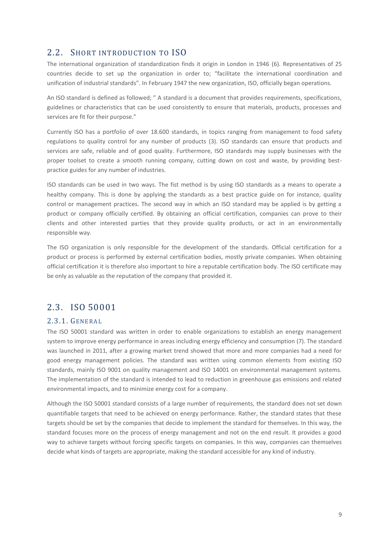## <span id="page-8-0"></span>2.2. SHORT INTRODUCTION TO ISO

The international organization of standardization finds it origin in London in 1946 (6). Representatives of 25 countries decide to set up the organization in order to; "facilitate the international coordination and unification of industrial standards". In February 1947 the new organization, ISO, officially began operations.

An ISO standard is defined as followed; " A standard is a document that provides requirements, specifications, guidelines or characteristics that can be used consistently to ensure that materials, products, processes and services are fit for their purpose."

Currently ISO has a portfolio of over 18.600 standards, in topics ranging from management to food safety regulations to quality control for any number of products (3). ISO standards can ensure that products and services are safe, reliable and of good quality. Furthermore, ISO standards may supply businesses with the proper toolset to create a smooth running company, cutting down on cost and waste, by providing bestpractice guides for any number of industries.

ISO standards can be used in two ways. The fist method is by using ISO standards as a means to operate a healthy company. This is done by applying the standards as a best practice guide on for instance, quality control or management practices. The second way in which an ISO standard may be applied is by getting a product or company officially certified. By obtaining an official certification, companies can prove to their clients and other interested parties that they provide quality products, or act in an environmentally responsible way.

The ISO organization is only responsible for the development of the standards. Official certification for a product or process is performed by external certification bodies, mostly private companies. When obtaining official certification it is therefore also important to hire a reputable certification body. The ISO certificate may be only as valuable as the reputation of the company that provided it.

## <span id="page-8-1"></span>2.3. ISO 50001

#### <span id="page-8-2"></span>2.3.1. GENER AL

The ISO 50001 standard was written in order to enable organizations to establish an energy management system to improve energy performance in areas including energy efficiency and consumption (7). The standard was launched in 2011, after a growing market trend showed that more and more companies had a need for good energy management policies. The standard was written using common elements from existing ISO standards, mainly ISO 9001 on quality management and ISO 14001 on environmental management systems. The implementation of the standard is intended to lead to reduction in greenhouse gas emissions and related environmental impacts, and to minimize energy cost for a company.

Although the ISO 50001 standard consists of a large number of requirements, the standard does not set down quantifiable targets that need to be achieved on energy performance. Rather, the standard states that these targets should be set by the companies that decide to implement the standard for themselves. In this way, the standard focuses more on the process of energy management and not on the end result. It provides a good way to achieve targets without forcing specific targets on companies. In this way, companies can themselves decide what kinds of targets are appropriate, making the standard accessible for any kind of industry.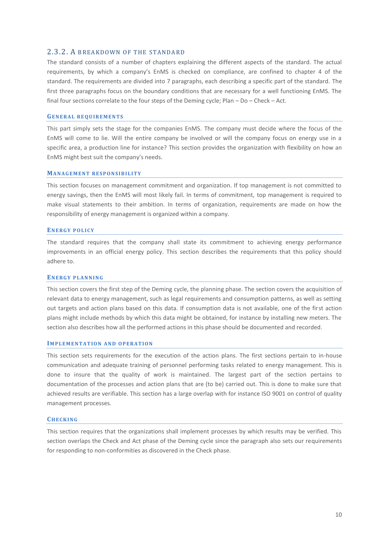#### <span id="page-9-0"></span>2.3.2. A BREAKDOWN OF THE STANDARD

The standard consists of a number of chapters explaining the different aspects of the standard. The actual requirements, by which a company's EnMS is checked on compliance, are confined to chapter 4 of the standard. The requirements are divided into 7 paragraphs, each describing a specific part of the standard. The first three paragraphs focus on the boundary conditions that are necessary for a well functioning EnMS. The final four sections correlate to the four steps of the Deming cycle; Plan – Do – Check – Act.

#### **GE N E R A L R E Q U I R E M E N T S**

This part simply sets the stage for the companies EnMS. The company must decide where the focus of the EnMS will come to lie. Will the entire company be involved or will the company focus on energy use in a specific area, a production line for instance? This section provides the organization with flexibility on how an EnMS might best suit the company's needs.

#### **MANAGEMENT RESPONSIBILITY**

This section focuses on management commitment and organization. If top management is not committed to energy savings, then the EnMS will most likely fail. In terms of commitment, top management is required to make visual statements to their ambition. In terms of organization, requirements are made on how the responsibility of energy management is organized within a company.

#### **EN E R G Y P O L I C Y**

The standard requires that the company shall state its commitment to achieving energy performance improvements in an official energy policy. This section describes the requirements that this policy should adhere to.

#### **EN E R G Y P L A N N I N G**

This section covers the first step of the Deming cycle, the planning phase. The section covers the acquisition of relevant data to energy management, such as legal requirements and consumption patterns, as well as setting out targets and action plans based on this data. If consumption data is not available, one of the first action plans might include methods by which this data might be obtained, for instance by installing new meters. The section also describes how all the performed actions in this phase should be documented and recorded.

#### **IMPLEMENTATION AND OPERATION**

This section sets requirements for the execution of the action plans. The first sections pertain to in-house communication and adequate training of personnel performing tasks related to energy management. This is done to insure that the quality of work is maintained. The largest part of the section pertains to documentation of the processes and action plans that are (to be) carried out. This is done to make sure that achieved results are verifiable. This section has a large overlap with for instance ISO 9001 on control of quality management processes.

#### **CH E C K I N G**

This section requires that the organizations shall implement processes by which results may be verified. This section overlaps the Check and Act phase of the Deming cycle since the paragraph also sets our requirements for responding to non-conformities as discovered in the Check phase.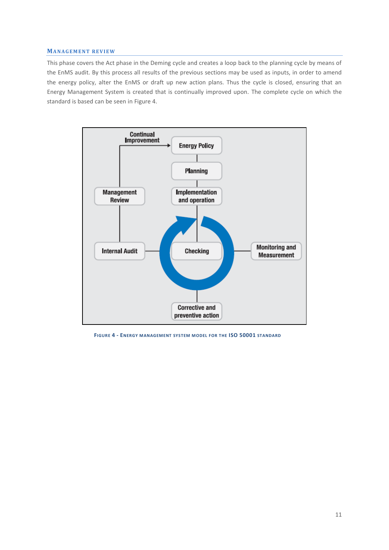#### **MA N A G E M E N T R E V I E W**

This phase covers the Act phase in the Deming cycle and creates a loop back to the planning cycle by means of the EnMS audit. By this process all results of the previous sections may be used as inputs, in order to amend the energy policy, alter the EnMS or draft up new action plans. Thus the cycle is closed, ensuring that an Energy Management System is created that is continually improved upon. The complete cycle on which the standard is based can be seen i[n Figure 4.](#page-10-0)



<span id="page-10-0"></span>**FIGURE 4 - ENERGY MANAGEMENT SYSTEM MODEL FOR THE ISO 50001 STANDARD**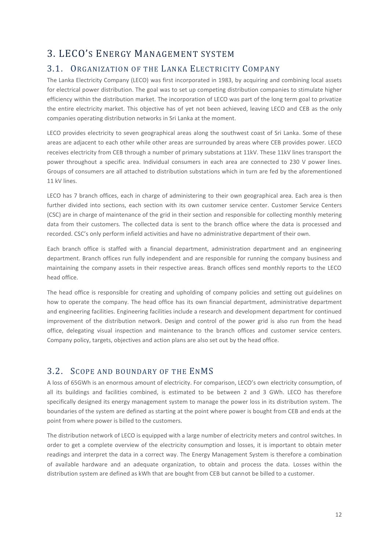# <span id="page-11-0"></span>3. LECO'S ENERGY MANAGEMENT SYSTEM

## <span id="page-11-1"></span>3.1. ORGANIZATION OF THE LANKA ELECTRICITY COMPANY

The Lanka Electricity Company (LECO) was first incorporated in 1983, by acquiring and combining local assets for electrical power distribution. The goal was to set up competing distribution companies to stimulate higher efficiency within the distribution market. The incorporation of LECO was part of the long term goal to privatize the entire electricity market. This objective has of yet not been achieved, leaving LECO and CEB as the only companies operating distribution networks in Sri Lanka at the moment.

LECO provides electricity to seven geographical areas along the southwest coast of Sri Lanka. Some of these areas are adjacent to each other while other areas are surrounded by areas where CEB provides power. LECO receives electricity from CEB through a number of primary substations at 11kV. These 11kV lines transport the power throughout a specific area. Individual consumers in each area are connected to 230 V power lines. Groups of consumers are all attached to distribution substations which in turn are fed by the aforementioned 11 kV lines.

LECO has 7 branch offices, each in charge of administering to their own geographical area. Each area is then further divided into sections, each section with its own customer service center. Customer Service Centers (CSC) are in charge of maintenance of the grid in their section and responsible for collecting monthly metering data from their customers. The collected data is sent to the branch office where the data is processed and recorded. CSC's only perform infield activities and have no administrative department of their own.

Each branch office is staffed with a financial department, administration department and an engineering department. Branch offices run fully independent and are responsible for running the company business and maintaining the company assets in their respective areas. Branch offices send monthly reports to the LECO head office.

The head office is responsible for creating and upholding of company policies and setting out guidelines on how to operate the company. The head office has its own financial department, administrative department and engineering facilities. Engineering facilities include a research and development department for continued improvement of the distribution network. Design and control of the power grid is also run from the head office, delegating visual inspection and maintenance to the branch offices and customer service centers. Company policy, targets, objectives and action plans are also set out by the head office.

## <span id="page-11-2"></span>3.2. SCOPE AND BOUNDARY OF THE ENMS

A loss of 65GWh is an enormous amount of electricity. For comparison, LECO's own electricity consumption, of all its buildings and facilities combined, is estimated to be between 2 and 3 GWh. LECO has therefore specifically designed its energy management system to manage the power loss in its distribution system. The boundaries of the system are defined as starting at the point where power is bought from CEB and ends at the point from where power is billed to the customers.

The distribution network of LECO is equipped with a large number of electricity meters and control switches. In order to get a complete overview of the electricity consumption and losses, it is important to obtain meter readings and interpret the data in a correct way. The Energy Management System is therefore a combination of available hardware and an adequate organization, to obtain and process the data. Losses within the distribution system are defined as kWh that are bought from CEB but cannot be billed to a customer.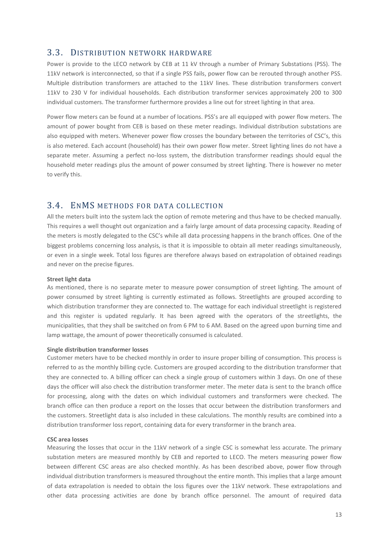## <span id="page-12-0"></span>3.3. DISTRIBUTION NETWORK HARDWARE

Power is provide to the LECO network by CEB at 11 kV through a number of Primary Substations (PSS). The 11kV network is interconnected, so that if a single PSS fails, power flow can be rerouted through another PSS. Multiple distribution transformers are attached to the 11kV lines. These distribution transformers convert 11kV to 230 V for individual households. Each distribution transformer services approximately 200 to 300 individual customers. The transformer furthermore provides a line out for street lighting in that area.

Power flow meters can be found at a number of locations. PSS's are all equipped with power flow meters. The amount of power bought from CEB is based on these meter readings. Individual distribution substations are also equipped with meters. Whenever power flow crosses the boundary between the territories of CSC's, this is also metered. Each account (household) has their own power flow meter. Street lighting lines do not have a separate meter. Assuming a perfect no-loss system, the distribution transformer readings should equal the household meter readings plus the amount of power consumed by street lighting. There is however no meter to verify this.

## <span id="page-12-1"></span>3.4. ENMS METHODS FOR DATA COLLECTION

All the meters built into the system lack the option of remote metering and thus have to be checked manually. This requires a well thought out organization and a fairly large amount of data processing capacity. Reading of the meters is mostly delegated to the CSC's while all data processing happens in the branch offices. One of the biggest problems concerning loss analysis, is that it is impossible to obtain all meter readings simultaneously, or even in a single week. Total loss figures are therefore always based on extrapolation of obtained readings and never on the precise figures.

#### **Street light data**

As mentioned, there is no separate meter to measure power consumption of street lighting. The amount of power consumed by street lighting is currently estimated as follows. Streetlights are grouped according to which distribution transformer they are connected to. The wattage for each individual streetlight is registered and this register is updated regularly. It has been agreed with the operators of the streetlights, the municipalities, that they shall be switched on from 6 PM to 6 AM. Based on the agreed upon burning time and lamp wattage, the amount of power theoretically consumed is calculated.

#### **Single distribution transformer losses**

Customer meters have to be checked monthly in order to insure proper billing of consumption. This process is referred to as the monthly billing cycle. Customers are grouped according to the distribution transformer that they are connected to. A billing officer can check a single group of customers within 3 days. On one of these days the officer will also check the distribution transformer meter. The meter data is sent to the branch office for processing, along with the dates on which individual customers and transformers were checked. The branch office can then produce a report on the losses that occur between the distribution transformers and the customers. Streetlight data is also included in these calculations. The monthly results are combined into a distribution transformer loss report, containing data for every transformer in the branch area.

#### **CSC area losses**

Measuring the losses that occur in the 11kV network of a single CSC is somewhat less accurate. The primary substation meters are measured monthly by CEB and reported to LECO. The meters measuring power flow between different CSC areas are also checked monthly. As has been described above, power flow through individual distribution transformers is measured throughout the entire month. This implies that a large amount of data extrapolation is needed to obtain the loss figures over the 11kV network. These extrapolations and other data processing activities are done by branch office personnel. The amount of required data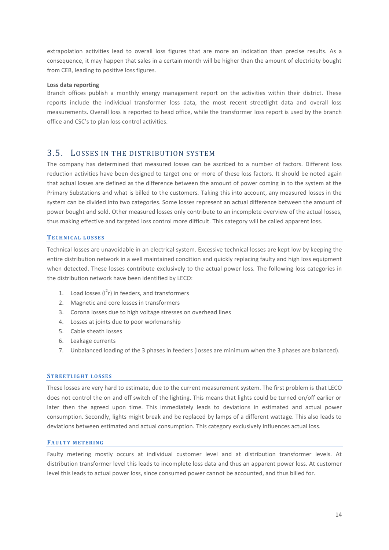extrapolation activities lead to overall loss figures that are more an indication than precise results. As a consequence, it may happen that sales in a certain month will be higher than the amount of electricity bought from CEB, leading to positive loss figures.

#### **Loss data reporting**

Branch offices publish a monthly energy management report on the activities within their district. These reports include the individual transformer loss data, the most recent streetlight data and overall loss measurements. Overall loss is reported to head office, while the transformer loss report is used by the branch office and CSC's to plan loss control activities.

## <span id="page-13-0"></span>3.5. LOSSES IN THE DISTRIBUTION SYSTEM

The company has determined that measured losses can be ascribed to a number of factors. Different loss reduction activities have been designed to target one or more of these loss factors. It should be noted again that actual losses are defined as the difference between the amount of power coming in to the system at the Primary Substations and what is billed to the customers. Taking this into account, any measured losses in the system can be divided into two categories. Some losses represent an actual difference between the amount of power bought and sold. Other measured losses only contribute to an incomplete overview of the actual losses, thus making effective and targeted loss control more difficult. This category will be called apparent loss.

#### **TE C H N I C A L L O S S E S**

Technical losses are unavoidable in an electrical system. Excessive technical losses are kept low by keeping the entire distribution network in a well maintained condition and quickly replacing faulty and high loss equipment when detected. These losses contribute exclusively to the actual power loss. The following loss categories in the distribution network have been identified by LECO:

- 1. Load losses  $\left(1^{2}r\right)$  in feeders, and transformers
- 2. Magnetic and core losses in transformers
- 3. Corona losses due to high voltage stresses on overhead lines
- 4. Losses at joints due to poor workmanship
- 5. Cable sheath losses
- 6. Leakage currents
- 7. Unbalanced loading of the 3 phases in feeders (losses are minimum when the 3 phases are balanced).

#### **STREETLIGHT LOSSES**

These losses are very hard to estimate, due to the current measurement system. The first problem is that LECO does not control the on and off switch of the lighting. This means that lights could be turned on/off earlier or later then the agreed upon time. This immediately leads to deviations in estimated and actual power consumption. Secondly, lights might break and be replaced by lamps of a different wattage. This also leads to deviations between estimated and actual consumption. This category exclusively influences actual loss.

#### **FAULTY METERING**

Faulty metering mostly occurs at individual customer level and at distribution transformer levels. At distribution transformer level this leads to incomplete loss data and thus an apparent power loss. At customer level this leads to actual power loss, since consumed power cannot be accounted, and thus billed for.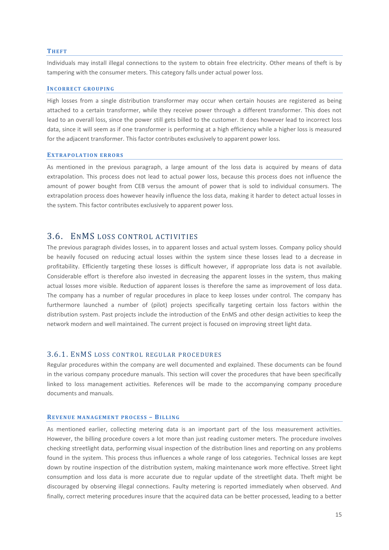#### **TH E F T**

Individuals may install illegal connections to the system to obtain free electricity. Other means of theft is by tampering with the consumer meters. This category falls under actual power loss.

#### **INCORRECT GROUPING**

High losses from a single distribution transformer may occur when certain houses are registered as being attached to a certain transformer, while they receive power through a different transformer. This does not lead to an overall loss, since the power still gets billed to the customer. It does however lead to incorrect loss data, since it will seem as if one transformer is performing at a high efficiency while a higher loss is measured for the adjacent transformer. This factor contributes exclusively to apparent power loss.

#### **EXTRAPOLATION ERRORS**

As mentioned in the previous paragraph, a large amount of the loss data is acquired by means of data extrapolation. This process does not lead to actual power loss, because this process does not influence the amount of power bought from CEB versus the amount of power that is sold to individual consumers. The extrapolation process does however heavily influence the loss data, making it harder to detect actual losses in the system. This factor contributes exclusively to apparent power loss.

## <span id="page-14-0"></span>3.6. ENMS LOSS CONTROL ACTIVITIES

The previous paragraph divides losses, in to apparent losses and actual system losses. Company policy should be heavily focused on reducing actual losses within the system since these losses lead to a decrease in profitability. Efficiently targeting these losses is difficult however, if appropriate loss data is not available. Considerable effort is therefore also invested in decreasing the apparent losses in the system, thus making actual losses more visible. Reduction of apparent losses is therefore the same as improvement of loss data. The company has a number of regular procedures in place to keep losses under control. The company has furthermore launched a number of (pilot) projects specifically targeting certain loss factors within the distribution system. Past projects include the introduction of the EnMS and other design activities to keep the network modern and well maintained. The current project is focused on improving street light data.

#### <span id="page-14-1"></span>3.6.1. ENMS LOSS CONTROL REGULAR PROCEDURES

Regular procedures within the company are well documented and explained. These documents can be found in the various company procedure manuals. This section will cover the procedures that have been specifically linked to loss management activities. References will be made to the accompanying company procedure documents and manuals.

#### **REVENUE MANAGEMENT PROCESS - BILLING**

As mentioned earlier, collecting metering data is an important part of the loss measurement activities. However, the billing procedure covers a lot more than just reading customer meters. The procedure involves checking streetlight data, performing visual inspection of the distribution lines and reporting on any problems found in the system. This process thus influences a whole range of loss categories. Technical losses are kept down by routine inspection of the distribution system, making maintenance work more effective. Street light consumption and loss data is more accurate due to regular update of the streetlight data. Theft might be discouraged by observing illegal connections. Faulty metering is reported immediately when observed. And finally, correct metering procedures insure that the acquired data can be better processed, leading to a better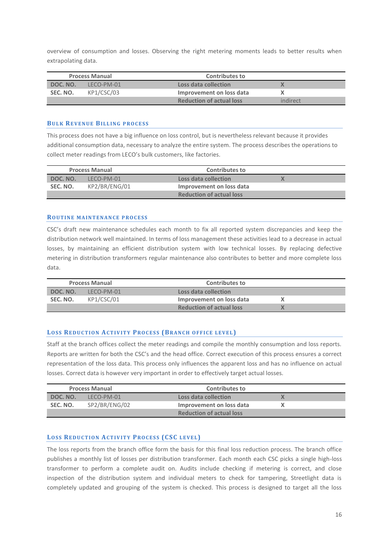overview of consumption and losses. Observing the right metering moments leads to better results when extrapolating data.

| <b>Process Manual</b> |            | <b>Contributes to</b>           |          |
|-----------------------|------------|---------------------------------|----------|
| DOC. NO.              | LECO-PM-01 | Loss data collection            |          |
| SEC. NO.              | KP1/CSC/03 | Improvement on loss data        |          |
|                       |            | <b>Reduction of actual loss</b> | indirect |

#### **BULK REVENUE BILLING PROCESS**

This process does not have a big influence on loss control, but is nevertheless relevant because it provides additional consumption data, necessary to analyze the entire system. The process describes the operations to collect meter readings from LECO's bulk customers, like factories.

| <b>Process Manual</b> |               | <b>Contributes to</b>           |  |
|-----------------------|---------------|---------------------------------|--|
| DOC. NO.              | LFCO-PM-01    | Loss data collection            |  |
| SEC. NO.              | KP2/BR/ENG/01 | Improvement on loss data        |  |
|                       |               | <b>Reduction of actual loss</b> |  |

#### **ROUTINE MAINTENANCE PROCESS**

CSC's draft new maintenance schedules each month to fix all reported system discrepancies and keep the distribution network well maintained. In terms of loss management these activities lead to a decrease in actual losses, by maintaining an efficient distribution system with low technical losses. By replacing defective metering in distribution transformers regular maintenance also contributes to better and more complete loss data.

| <b>Process Manual</b> |            | <b>Contributes to</b>           |  |
|-----------------------|------------|---------------------------------|--|
| DOC. NO.              | LECO-PM-01 | Loss data collection            |  |
| SEC. NO.              | KP1/CSC/01 | Improvement on loss data        |  |
|                       |            | <b>Reduction of actual loss</b> |  |

#### **LOSS REDUCTION ACTIVITY PROCESS (BRANCH OFFICE LEVEL)**

Staff at the branch offices collect the meter readings and compile the monthly consumption and loss reports. Reports are written for both the CSC's and the head office. Correct execution of this process ensures a correct representation of the loss data. This process only influences the apparent loss and has no influence on actual losses. Correct data is however very important in order to effectively target actual losses.

| <b>Process Manual</b> |               | <b>Contributes to</b>           |  |
|-----------------------|---------------|---------------------------------|--|
| DOC. NO.              | LECO-PM-01    | Loss data collection            |  |
| SEC. NO.              | SP2/BR/ENG/02 | Improvement on loss data        |  |
|                       |               | <b>Reduction of actual loss</b> |  |

#### **LOSS REDUCTION ACTIVITY PROCESS (CSC LEVEL)**

The loss reports from the branch office form the basis for this final loss reduction process. The branch office publishes a monthly list of losses per distribution transformer. Each month each CSC picks a single high-loss transformer to perform a complete audit on. Audits include checking if metering is correct, and close inspection of the distribution system and individual meters to check for tampering, Streetlight data is completely updated and grouping of the system is checked. This process is designed to target all the loss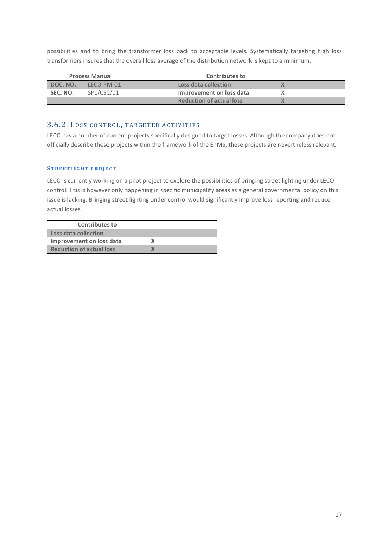possibilities and to bring the transformer loss back to acceptable levels. Systematically targeting high loss transformers insures that the overall loss average of the distribution network is kept to a minimum.

| <b>Process Manual</b> |            | <b>Contributes to</b>           |  |
|-----------------------|------------|---------------------------------|--|
| DOC. NO.              | LECO-PM-01 | Loss data collection            |  |
| SEC. NO.              | SP1/CSC/01 | Improvement on loss data        |  |
|                       |            | <b>Reduction of actual loss</b> |  |

## <span id="page-16-0"></span>3.6.2. LOSS CONTROL, TARGETED ACTIVITIES

LECO has a number of current projects specifically designed to target losses. Although the company does not officially describe these projects within the framework of the EnMS, these projects are nevertheless relevant.

#### **STREETLIGHT PROJECT**

LECO is currently working on a pilot project to explore the possibilities of bringing street lighting under LECO control. This is however only happening in specific municipality areas as a general governmental policy on this issue is lacking. Bringing street lighting under control would significantly improve loss reporting and reduce actual losses.

| <b>Contributes to</b>           |  |
|---------------------------------|--|
| Loss data collection            |  |
| Improvement on loss data        |  |
| <b>Reduction of actual loss</b> |  |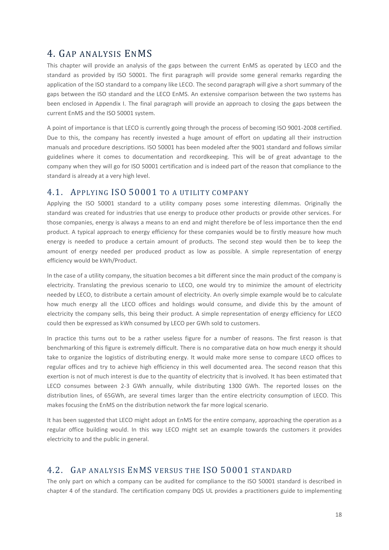# <span id="page-17-0"></span>4. GAP ANALYSIS ENMS

This chapter will provide an analysis of the gaps between the current EnMS as operated by LECO and the standard as provided by ISO 50001. The first paragraph will provide some general remarks regarding the application of the ISO standard to a company like LECO. The second paragraph will give a short summary of the gaps between the ISO standard and the LECO EnMS. An extensive comparison between the two systems has been enclosed in Appendix I. The final paragraph will provide an approach to closing the gaps between the current EnMS and the ISO 50001 system.

A point of importance is that LECO is currently going through the process of becoming ISO 9001-2008 certified. Due to this, the company has recently invested a huge amount of effort on updating all their instruction manuals and procedure descriptions. ISO 50001 has been modeled after the 9001 standard and follows similar guidelines where it comes to documentation and recordkeeping. This will be of great advantage to the company when they will go for ISO 50001 certification and is indeed part of the reason that compliance to the standard is already at a very high level.

## <span id="page-17-1"></span>4.1. APPLYING ISO 50001 TO A UTILITY COMPANY

Applying the ISO 50001 standard to a utility company poses some interesting dilemmas. Originally the standard was created for industries that use energy to produce other products or provide other services. For those companies, energy is always a means to an end and might therefore be of less importance then the end product. A typical approach to energy efficiency for these companies would be to firstly measure how much energy is needed to produce a certain amount of products. The second step would then be to keep the amount of energy needed per produced product as low as possible. A simple representation of energy efficiency would be kWh/Product.

In the case of a utility company, the situation becomes a bit different since the main product of the company is electricity. Translating the previous scenario to LECO, one would try to minimize the amount of electricity needed by LECO, to distribute a certain amount of electricity. An overly simple example would be to calculate how much energy all the LECO offices and holdings would consume, and divide this by the amount of electricity the company sells, this being their product. A simple representation of energy efficiency for LECO could then be expressed as kWh consumed by LECO per GWh sold to customers.

In practice this turns out to be a rather useless figure for a number of reasons. The first reason is that benchmarking of this figure is extremely difficult. There is no comparative data on how much energy it should take to organize the logistics of distributing energy. It would make more sense to compare LECO offices to regular offices and try to achieve high efficiency in this well documented area. The second reason that this exertion is not of much interest is due to the quantity of electricity that is involved. It has been estimated that LECO consumes between 2-3 GWh annually, while distributing 1300 GWh. The reported losses on the distribution lines, of 65GWh, are several times larger than the entire electricity consumption of LECO. This makes focusing the EnMS on the distribution network the far more logical scenario.

It has been suggested that LECO might adopt an EnMS for the entire company, approaching the operation as a regular office building would. In this way LECO might set an example towards the customers it provides electricity to and the public in general.

## <span id="page-17-2"></span>4.2. GAP ANALYSIS ENMS VERSUS THE ISO 50001 STANDARD

The only part on which a company can be audited for compliance to the ISO 50001 standard is described in chapter 4 of the standard. The certification company DQS UL provides a practitioners guide to implementing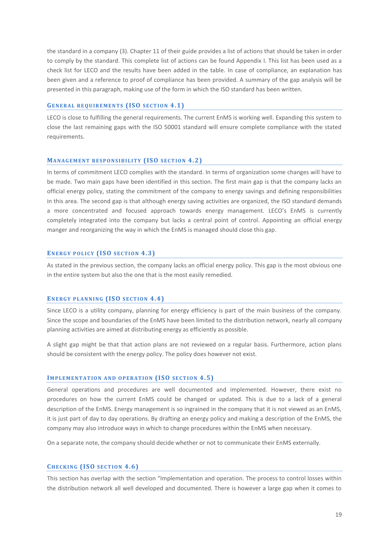the standard in a company (3). Chapter 11 of their guide provides a list of actions that should be taken in order to comply by the standard. This complete list of actions can be found Appendix I. This list has been used as a check list for LECO and the results have been added in the table. In case of compliance, an explanation has been given and a reference to proof of compliance has been provided. A summary of the gap analysis will be presented in this paragraph, making use of the form in which the ISO standard has been written.

#### **GENERAL REQUIREMENTS (ISO SECTION 4.1)**

LECO is close to fulfilling the general requirements. The current EnMS is working well. Expanding this system to close the last remaining gaps with the ISO 50001 standard will ensure complete compliance with the stated requirements.

#### **MANAGEMENT RESPONSIBILITY (ISO SECTION 4.2)**

In terms of commitment LECO complies with the standard. In terms of organization some changes will have to be made. Two main gaps have been identified in this section. The first main gap is that the company lacks an official energy policy, stating the commitment of the company to energy savings and defining responsibilities in this area. The second gap is that although energy saving activities are organized, the ISO standard demands a more concentrated and focused approach towards energy management. LECO's EnMS is currently completely integrated into the company but lacks a central point of control. Appointing an official energy manger and reorganizing the way in which the EnMS is managed should close this gap.

#### ENERGY POLICY (ISO SECTION 4.3)

As stated in the previous section, the company lacks an official energy policy. This gap is the most obvious one in the entire system but also the one that is the most easily remedied.

#### **ENERGY PLANNING (ISO SECTION 4.4)**

Since LECO is a utility company, planning for energy efficiency is part of the main business of the company. Since the scope and boundaries of the EnMS have been limited to the distribution network, nearly all company planning activities are aimed at distributing energy as efficiently as possible.

A slight gap might be that that action plans are not reviewed on a regular basis. Furthermore, action plans should be consistent with the energy policy. The policy does however not exist.

#### **IMPLEMENTATION AND OPERATION (ISO SECTION 4.5)**

General operations and procedures are well documented and implemented. However, there exist no procedures on how the current EnMS could be changed or updated. This is due to a lack of a general description of the EnMS. Energy management is so ingrained in the company that it is not viewed as an EnMS, it is just part of day to day operations. By drafting an energy policy and making a description of the EnMS, the company may also introduce ways in which to change procedures within the EnMS when necessary.

On a separate note, the company should decide whether or not to communicate their EnMS externally.

#### **CH E C K I N G (IS O S E C T I O N 4.6)**

This section has overlap with the section "Implementation and operation. The process to control losses within the distribution network all well developed and documented. There is however a large gap when it comes to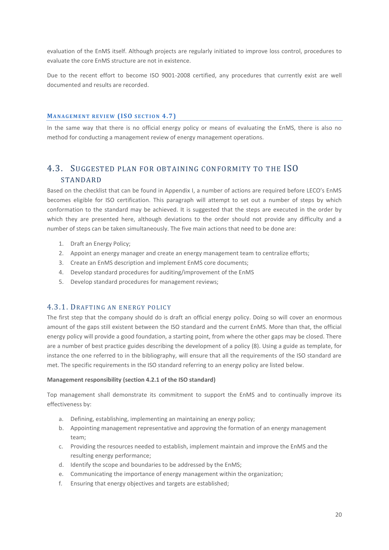evaluation of the EnMS itself. Although projects are regularly initiated to improve loss control, procedures to evaluate the core EnMS structure are not in existence.

Due to the recent effort to become ISO 9001-2008 certified, any procedures that currently exist are well documented and results are recorded.

#### **MANAGEMENT REVIEW (ISO SECTION 4.7)**

In the same way that there is no official energy policy or means of evaluating the EnMS, there is also no method for conducting a management review of energy management operations.

## <span id="page-19-0"></span>4.3. SUGGESTED PLAN FOR OBTAINING CONFORMITY TO THE ISO STANDARD

Based on the checklist that can be found in Appendix I, a number of actions are required before LECO's EnMS becomes eligible for ISO certification. This paragraph will attempt to set out a number of steps by which conformation to the standard may be achieved. It is suggested that the steps are executed in the order by which they are presented here, although deviations to the order should not provide any difficulty and a number of steps can be taken simultaneously. The five main actions that need to be done are:

- 1. Draft an Energy Policy;
- 2. Appoint an energy manager and create an energy management team to centralize efforts;
- 3. Create an EnMS description and implement EnMS core documents;
- 4. Develop standard procedures for auditing/improvement of the EnMS
- 5. Develop standard procedures for management reviews;

#### <span id="page-19-1"></span>4.3.1. DRAFTING AN ENERGY POLICY

The first step that the company should do is draft an official energy policy. Doing so will cover an enormous amount of the gaps still existent between the ISO standard and the current EnMS. More than that, the official energy policy will provide a good foundation, a starting point, from where the other gaps may be closed. There are a number of best practice guides describing the development of a policy (8). Using a guide as template, for instance the one referred to in the bibliography, will ensure that all the requirements of the ISO standard are met. The specific requirements in the ISO standard referring to an energy policy are listed below.

#### **Management responsibility (section 4.2.1 of the ISO standard)**

Top management shall demonstrate its commitment to support the EnMS and to continually improve its effectiveness by:

- a. Defining, establishing, implementing an maintaining an energy policy;
- b. Appointing management representative and approving the formation of an energy management team;
- c. Providing the resources needed to establish, implement maintain and improve the EnMS and the resulting energy performance;
- d. Identify the scope and boundaries to be addressed by the EnMS;
- e. Communicating the importance of energy management within the organization;
- f. Ensuring that energy objectives and targets are established;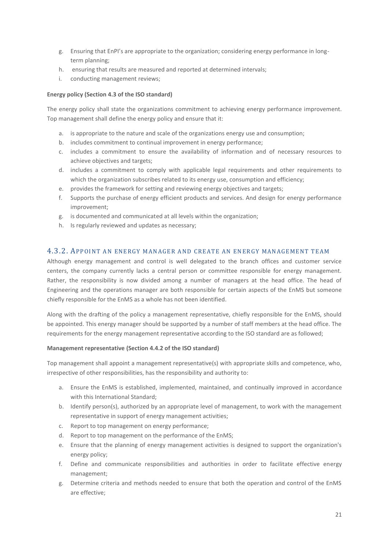- g. Ensuring that EnPI's are appropriate to the organization; considering energy performance in longterm planning;
- h. ensuring that results are measured and reported at determined intervals;
- i. conducting management reviews;

#### **Energy policy (Section 4.3 of the ISO standard)**

The energy policy shall state the organizations commitment to achieving energy performance improvement. Top management shall define the energy policy and ensure that it:

- a. is appropriate to the nature and scale of the organizations energy use and consumption;
- b. includes commitment to continual improvement in energy performance;
- c. includes a commitment to ensure the availability of information and of necessary resources to achieve objectives and targets;
- d. includes a commitment to comply with applicable legal requirements and other requirements to which the organization subscribes related to its energy use, consumption and efficiency;
- e. provides the framework for setting and reviewing energy objectives and targets;
- f. Supports the purchase of energy efficient products and services. And design for energy performance improvement;
- g. is documented and communicated at all levels within the organization;
- h. Is regularly reviewed and updates as necessary;

#### <span id="page-20-0"></span>4.3.2. APPOINT AN ENERGY MANAGER AND CREATE AN ENERGY MANAGEMENT TEAM

Although energy management and control is well delegated to the branch offices and customer service centers, the company currently lacks a central person or committee responsible for energy management. Rather, the responsibility is now divided among a number of managers at the head office. The head of Engineering and the operations manager are both responsible for certain aspects of the EnMS but someone chiefly responsible for the EnMS as a whole has not been identified.

Along with the drafting of the policy a management representative, chiefly responsible for the EnMS, should be appointed. This energy manager should be supported by a number of staff members at the head office. The requirements for the energy management representative according to the ISO standard are as followed;

#### **Management representative (Section 4.4.2 of the ISO standard)**

Top management shall appoint a management representative(s) with appropriate skills and competence, who, irrespective of other responsibilities, has the responsibility and authority to:

- a. Ensure the EnMS is established, implemented, maintained, and continually improved in accordance with this International Standard;
- b. Identify person(s), authorized by an appropriate level of management, to work with the management representative in support of energy management activities;
- c. Report to top management on energy performance;
- d. Report to top management on the performance of the EnMS;
- e. Ensure that the planning of energy management activities is designed to support the organization's energy policy;
- f. Define and communicate responsibilities and authorities in order to facilitate effective energy management;
- g. Determine criteria and methods needed to ensure that both the operation and control of the EnMS are effective;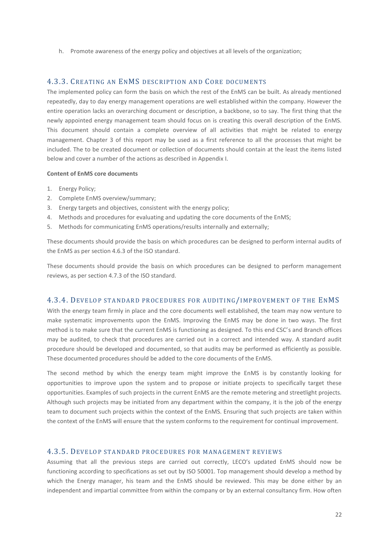h. Promote awareness of the energy policy and objectives at all levels of the organization;

## <span id="page-21-0"></span>4.3.3. CREATING AN ENMS DESCRIPTION AND CORE DOCUMENTS

The implemented policy can form the basis on which the rest of the EnMS can be built. As already mentioned repeatedly, day to day energy management operations are well established within the company. However the entire operation lacks an overarching document or description, a backbone, so to say. The first thing that the newly appointed energy management team should focus on is creating this overall description of the EnMS. This document should contain a complete overview of all activities that might be related to energy management. Chapter 3 of this report may be used as a first reference to all the processes that might be included. The to be created document or collection of documents should contain at the least the items listed below and cover a number of the actions as described in Appendix I.

#### **Content of EnMS core documents**

- 1. Energy Policy;
- 2. Complete EnMS overview/summary;
- 3. Energy targets and objectives, consistent with the energy policy;
- 4. Methods and procedures for evaluating and updating the core documents of the EnMS;
- 5. Methods for communicating EnMS operations/results internally and externally;

These documents should provide the basis on which procedures can be designed to perform internal audits of the EnMS as per section 4.6.3 of the ISO standard.

These documents should provide the basis on which procedures can be designed to perform management reviews, as per section 4.7.3 of the ISO standard.

#### <span id="page-21-1"></span>4.3.4. DEVELOP STANDARD PROCEDURES FOR AUDITING/IMPROVEMENT OF THE ENMS

With the energy team firmly in place and the core documents well established, the team may now venture to make systematic improvements upon the EnMS. Improving the EnMS may be done in two ways. The first method is to make sure that the current EnMS is functioning as designed. To this end CSC's and Branch offices may be audited, to check that procedures are carried out in a correct and intended way. A standard audit procedure should be developed and documented, so that audits may be performed as efficiently as possible. These documented procedures should be added to the core documents of the EnMS.

The second method by which the energy team might improve the EnMS is by constantly looking for opportunities to improve upon the system and to propose or initiate projects to specifically target these opportunities. Examples of such projects in the current EnMS are the remote metering and streetlight projects. Although such projects may be initiated from any department within the company, it is the job of the energy team to document such projects within the context of the EnMS. Ensuring that such projects are taken within the context of the EnMS will ensure that the system conforms to the requirement for continual improvement.

#### <span id="page-21-2"></span>4.3.5. DEVELOP STANDARD PROCEDURES FOR MANAGEMENT REVIEWS

Assuming that all the previous steps are carried out correctly, LECO's updated EnMS should now be functioning according to specifications as set out by ISO 50001. Top management should develop a method by which the Energy manager, his team and the EnMS should be reviewed. This may be done either by an independent and impartial committee from within the company or by an external consultancy firm. How often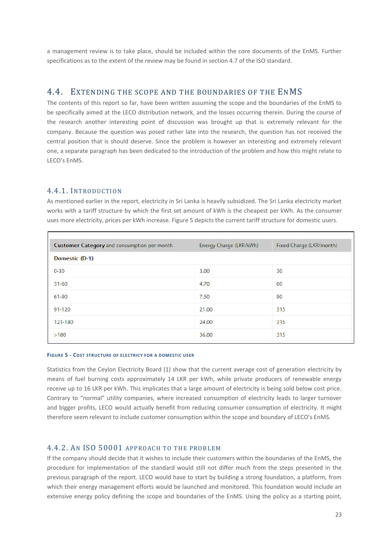a management review is to take place, should be included within the core documents of the EnMS. Further specifications as to the extent of the review may be found in section 4.7 of the ISO standard.

## <span id="page-22-0"></span>4.4. EXTENDING THE SCOPE AND THE BOUNDARIES OF THE ENMS

The contents of this report so far, have been written assuming the scope and the boundaries of the EnMS to be specifically aimed at the LECO distribution network, and the losses occurring therein. During the course of the research another interesting point of discussion was brought up that is extremely relevant for the company. Because the question was posed rather late into the research, the question has not received the central position that is should deserve. Since the problem is however an interesting and extremely relevant one, a separate paragraph has been dedicated to the introduction of the problem and how this might relate to LECO's EnMS.

#### <span id="page-22-1"></span>4.4.1. INTRODUCTION

As mentioned earlier in the report, electricity in Sri Lanka is heavily subsidized. The Sri Lanka electricity market works with a tariff structure by which the first set amount of kWh is the cheapest per kWh. As the consumer uses more electricity, prices per kWh increase. [Figure 5](#page-22-3) depicts the current tariff structure for domestic users.

| <b>Customer Category</b> and consumption per month | Energy Charge (LKR/kWh) | Fixed Charge (LKR/month) |
|----------------------------------------------------|-------------------------|--------------------------|
| Domestic (D-1)                                     |                         |                          |
| $0 - 30$                                           | 3.00                    | 30                       |
| $31 - 60$                                          | 4.70                    | 60                       |
| 61-90                                              | 7.50                    | 90                       |
| 91-120                                             | 21.00                   | 315                      |
| 121-180                                            | 24.00                   | 315                      |
| >180                                               | 36.00                   | 315                      |

#### <span id="page-22-3"></span>**FIGURE 5 - COST STRUCTURE OF ELECTRICY FOR A DOMESTIC USER**

Statistics from the Ceylon Electricity Board (1) show that the current average cost of generation electricity by means of fuel burning costs approximately 14 LKR per kWh, while private producers of renewable energy receive up to 16 LKR per kWh. This implicates that a large amount of electricity is being sold below cost price. Contrary to "normal" utility companies, where increased consumption of electricity leads to larger turnover and bigger profits, LECO would actually benefit from reducing consumer consumption of electricity. It might therefore seem relevant to include customer consumption within the scope and boundary of LECO's EnMS.

## <span id="page-22-2"></span>4.4.2. AN ISO 50001 APPROACH TO THE PROBLEM

If the company should decide that it wishes to include their customers within the boundaries of the EnMS, the procedure for implementation of the standard would still not differ much from the steps presented in the previous paragraph of the report. LECO would have to start by building a strong foundation, a platform, from which their energy management efforts would be launched and monitored. This foundation would include an extensive energy policy defining the scope and boundaries of the EnMS. Using the policy as a starting point,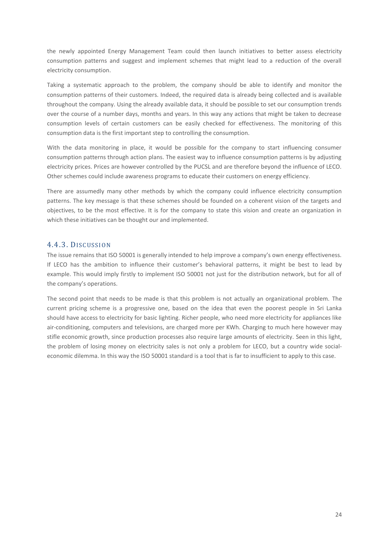the newly appointed Energy Management Team could then launch initiatives to better assess electricity consumption patterns and suggest and implement schemes that might lead to a reduction of the overall electricity consumption.

Taking a systematic approach to the problem, the company should be able to identify and monitor the consumption patterns of their customers. Indeed, the required data is already being collected and is available throughout the company. Using the already available data, it should be possible to set our consumption trends over the course of a number days, months and years. In this way any actions that might be taken to decrease consumption levels of certain customers can be easily checked for effectiveness. The monitoring of this consumption data is the first important step to controlling the consumption.

With the data monitoring in place, it would be possible for the company to start influencing consumer consumption patterns through action plans. The easiest way to influence consumption patterns is by adjusting electricity prices. Prices are however controlled by the PUCSL and are therefore beyond the influence of LECO. Other schemes could include awareness programs to educate their customers on energy efficiency.

There are assumedly many other methods by which the company could influence electricity consumption patterns. The key message is that these schemes should be founded on a coherent vision of the targets and objectives, to be the most effective. It is for the company to state this vision and create an organization in which these initiatives can be thought our and implemented.

#### <span id="page-23-0"></span>4.4.3. DISCUSSION

The issue remains that ISO 50001 is generally intended to help improve a company's own energy effectiveness. If LECO has the ambition to influence their customer's behavioral patterns, it might be best to lead by example. This would imply firstly to implement ISO 50001 not just for the distribution network, but for all of the company's operations.

The second point that needs to be made is that this problem is not actually an organizational problem. The current pricing scheme is a progressive one, based on the idea that even the poorest people in Sri Lanka should have access to electricity for basic lighting. Richer people, who need more electricity for appliances like air-conditioning, computers and televisions, are charged more per KWh. Charging to much here however may stifle economic growth, since production processes also require large amounts of electricity. Seen in this light, the problem of losing money on electricity sales is not only a problem for LECO, but a country wide socialeconomic dilemma. In this way the ISO 50001 standard is a tool that is far to insufficient to apply to this case.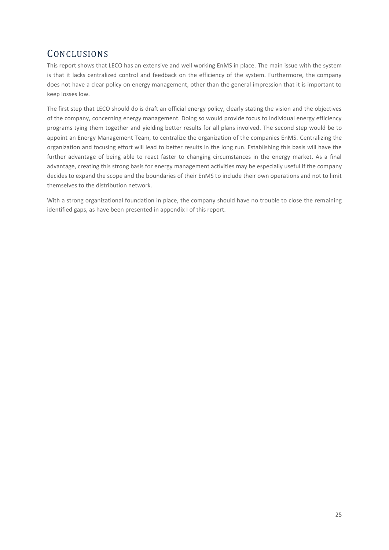# <span id="page-24-0"></span>**CONCLUSIONS**

This report shows that LECO has an extensive and well working EnMS in place. The main issue with the system is that it lacks centralized control and feedback on the efficiency of the system. Furthermore, the company does not have a clear policy on energy management, other than the general impression that it is important to keep losses low.

The first step that LECO should do is draft an official energy policy, clearly stating the vision and the objectives of the company, concerning energy management. Doing so would provide focus to individual energy efficiency programs tying them together and yielding better results for all plans involved. The second step would be to appoint an Energy Management Team, to centralize the organization of the companies EnMS. Centralizing the organization and focusing effort will lead to better results in the long run. Establishing this basis will have the further advantage of being able to react faster to changing circumstances in the energy market. As a final advantage, creating this strong basis for energy management activities may be especially useful if the company decides to expand the scope and the boundaries of their EnMS to include their own operations and not to limit themselves to the distribution network.

With a strong organizational foundation in place, the company should have no trouble to close the remaining identified gaps, as have been presented in appendix I of this report.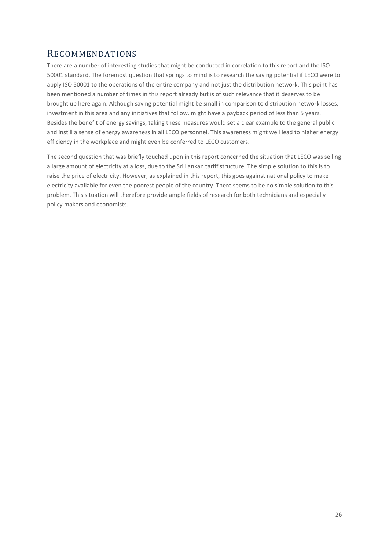# <span id="page-25-0"></span>RECOMMENDATIONS

There are a number of interesting studies that might be conducted in correlation to this report and the ISO 50001 standard. The foremost question that springs to mind is to research the saving potential if LECO were to apply ISO 50001 to the operations of the entire company and not just the distribution network. This point has been mentioned a number of times in this report already but is of such relevance that it deserves to be brought up here again. Although saving potential might be small in comparison to distribution network losses, investment in this area and any initiatives that follow, might have a payback period of less than 5 years. Besides the benefit of energy savings, taking these measures would set a clear example to the general public and instill a sense of energy awareness in all LECO personnel. This awareness might well lead to higher energy efficiency in the workplace and might even be conferred to LECO customers.

The second question that was briefly touched upon in this report concerned the situation that LECO was selling a large amount of electricity at a loss, due to the Sri Lankan tariff structure. The simple solution to this is to raise the price of electricity. However, as explained in this report, this goes against national policy to make electricity available for even the poorest people of the country. There seems to be no simple solution to this problem. This situation will therefore provide ample fields of research for both technicians and especially policy makers and economists.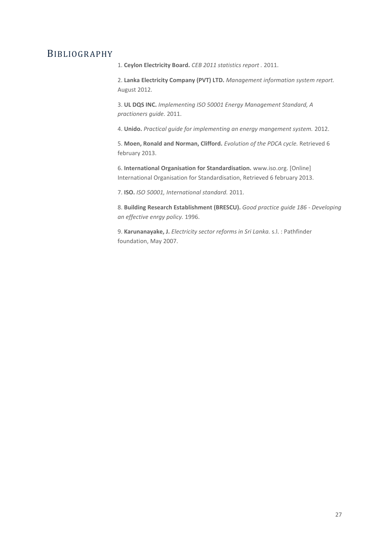## <span id="page-26-0"></span>BIBLIOGRAPHY

1. **Ceylon Electricity Board.** *CEB 2011 statistics report .* 2011.

2. **Lanka Electricity Company (PVT) LTD.** *Management information system report.*  August 2012.

3. **UL DQS INC.** *Implementing ISO 50001 Energy Management Standard, A practioners guide.* 2011.

4. **Unido.** *Practical guide for implementing an energy mangement system.* 2012.

5. **Moen, Ronald and Norman, Clifford.** *Evolution of the PDCA cycle.* Retrieved 6 february 2013.

6. **International Organisation for Standardisation.** www.iso.org. [Online] International Organisation for Standardisation, Retrieved 6 february 2013.

7. **ISO.** *ISO 50001, International standard.* 2011.

8. **Building Research Establishment (BRESCU).** *Good practice guide 186 - Developing an effective enrgy policy.* 1996.

9. **Karunanayake, J.** *Electricity sector reforms in Sri Lanka.* s.l. : Pathfinder foundation, May 2007.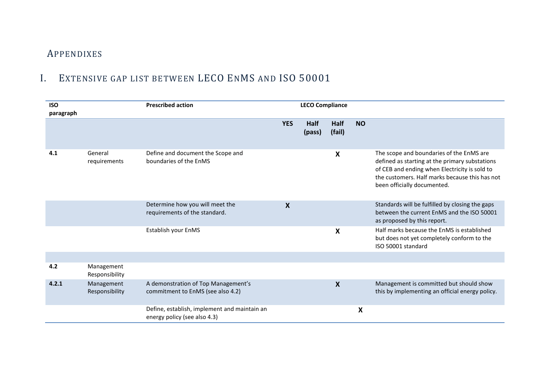# APPENDIXES

# I. EXTENSIVE GAP LIST BETWEEN LECO ENMS AND ISO 50001

<span id="page-27-1"></span><span id="page-27-0"></span>

| <b>ISO</b><br>paragraph |                              | <b>Prescribed action</b>                                                     | <b>LECO Compliance</b> |                |                           |           |                                                                                                                                                                                                                              |
|-------------------------|------------------------------|------------------------------------------------------------------------------|------------------------|----------------|---------------------------|-----------|------------------------------------------------------------------------------------------------------------------------------------------------------------------------------------------------------------------------------|
|                         |                              |                                                                              | <b>YES</b>             | Half<br>(pass) | Half<br>(fail)            | <b>NO</b> |                                                                                                                                                                                                                              |
| 4.1                     | General<br>requirements      | Define and document the Scope and<br>boundaries of the EnMS                  |                        |                | X                         |           | The scope and boundaries of the EnMS are<br>defined as starting at the primary substations<br>of CEB and ending when Electricity is sold to<br>the customers. Half marks because this has not<br>been officially documented. |
|                         |                              | Determine how you will meet the<br>requirements of the standard.             | $\boldsymbol{X}$       |                |                           |           | Standards will be fulfilled by closing the gaps<br>between the current EnMS and the ISO 50001<br>as proposed by this report.                                                                                                 |
|                         |                              | Establish your EnMS                                                          |                        |                | $\boldsymbol{\mathsf{X}}$ |           | Half marks because the EnMS is established<br>but does not yet completely conform to the<br>ISO 50001 standard                                                                                                               |
|                         |                              |                                                                              |                        |                |                           |           |                                                                                                                                                                                                                              |
| 4.2                     | Management<br>Responsibility |                                                                              |                        |                |                           |           |                                                                                                                                                                                                                              |
| 4.2.1                   | Management<br>Responsibility | A demonstration of Top Management's<br>commitment to EnMS (see also 4.2)     |                        |                | X                         |           | Management is committed but should show<br>this by implementing an official energy policy.                                                                                                                                   |
|                         |                              | Define, establish, implement and maintain an<br>energy policy (see also 4.3) |                        |                |                           | X         |                                                                                                                                                                                                                              |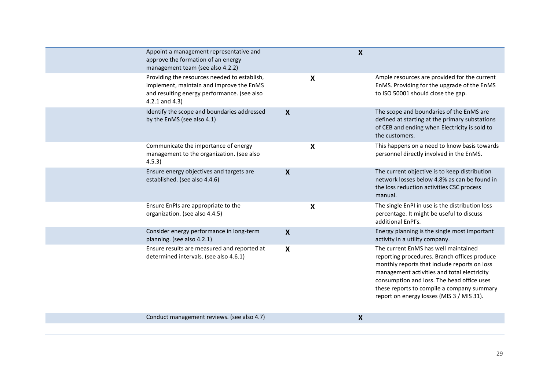| Appoint a management representative and<br>approve the formation of an energy<br>management team (see also 4.2.2)                                              |                           | $\boldsymbol{\mathsf{X}}$ |                                                                                                                                                                                                                                                                                                                              |
|----------------------------------------------------------------------------------------------------------------------------------------------------------------|---------------------------|---------------------------|------------------------------------------------------------------------------------------------------------------------------------------------------------------------------------------------------------------------------------------------------------------------------------------------------------------------------|
| Providing the resources needed to establish,<br>implement, maintain and improve the EnMS<br>and resulting energy performance. (see also<br>$4.2.1$ and $4.3$ ) | $\boldsymbol{\mathsf{X}}$ |                           | Ample resources are provided for the current<br>EnMS. Providing for the upgrade of the EnMS<br>to ISO 50001 should close the gap.                                                                                                                                                                                            |
| Identify the scope and boundaries addressed<br>by the EnMS (see also 4.1)                                                                                      | $\boldsymbol{X}$          |                           | The scope and boundaries of the EnMS are<br>defined at starting at the primary substations<br>of CEB and ending when Electricity is sold to<br>the customers.                                                                                                                                                                |
| Communicate the importance of energy<br>management to the organization. (see also<br>4.5.3)                                                                    | $\boldsymbol{\mathsf{X}}$ |                           | This happens on a need to know basis towards<br>personnel directly involved in the EnMS.                                                                                                                                                                                                                                     |
| Ensure energy objectives and targets are<br>established. (see also 4.4.6)                                                                                      | $\boldsymbol{X}$          |                           | The current objective is to keep distribution<br>network losses below 4.8% as can be found in<br>the loss reduction activities CSC process<br>manual.                                                                                                                                                                        |
| Ensure EnPIs are appropriate to the<br>organization. (see also 4.4.5)                                                                                          | $\boldsymbol{\mathsf{X}}$ |                           | The single EnPI in use is the distribution loss<br>percentage. It might be useful to discuss<br>additional EnPI's.                                                                                                                                                                                                           |
| Consider energy performance in long-term<br>planning. (see also 4.2.1)                                                                                         | $\boldsymbol{X}$          |                           | Energy planning is the single most important<br>activity in a utility company.                                                                                                                                                                                                                                               |
| Ensure results are measured and reported at<br>determined intervals. (see also 4.6.1)                                                                          | X                         |                           | The current EnMS has well maintained<br>reporting procedures. Branch offices produce<br>monthly reports that include reports on loss<br>management activities and total electricity<br>consumption and loss. The head office uses<br>these reports to compile a company summary<br>report on energy losses (MIS 3 / MIS 31). |
| Conduct management reviews. (see also 4.7)                                                                                                                     |                           | X                         |                                                                                                                                                                                                                                                                                                                              |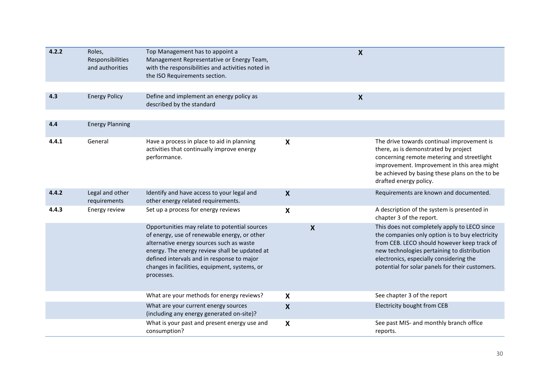| 4.2.2 | Roles,<br>Responsibilities<br>and authorities | Top Management has to appoint a<br>Management Representative or Energy Team,<br>with the responsibilities and activities noted in<br>the ISO Requirements section.                                                                                                                                      |                           | $\boldsymbol{X}$ |                                                                                                                                                                                                                                                                                             |
|-------|-----------------------------------------------|---------------------------------------------------------------------------------------------------------------------------------------------------------------------------------------------------------------------------------------------------------------------------------------------------------|---------------------------|------------------|---------------------------------------------------------------------------------------------------------------------------------------------------------------------------------------------------------------------------------------------------------------------------------------------|
|       |                                               |                                                                                                                                                                                                                                                                                                         |                           |                  |                                                                                                                                                                                                                                                                                             |
| 4.3   | <b>Energy Policy</b>                          | Define and implement an energy policy as<br>described by the standard                                                                                                                                                                                                                                   |                           | $\boldsymbol{X}$ |                                                                                                                                                                                                                                                                                             |
|       |                                               |                                                                                                                                                                                                                                                                                                         |                           |                  |                                                                                                                                                                                                                                                                                             |
| 4.4   | <b>Energy Planning</b>                        |                                                                                                                                                                                                                                                                                                         |                           |                  |                                                                                                                                                                                                                                                                                             |
| 4.4.1 | General                                       | Have a process in place to aid in planning<br>activities that continually improve energy<br>performance.                                                                                                                                                                                                | X                         |                  | The drive towards continual improvement is<br>there, as is demonstrated by project<br>concerning remote metering and streetlight<br>improvement. Improvement in this area might<br>be achieved by basing these plans on the to be<br>drafted energy policy.                                 |
| 4.4.2 | Legal and other<br>requirements               | Identify and have access to your legal and<br>other energy related requirements.                                                                                                                                                                                                                        | $\boldsymbol{X}$          |                  | Requirements are known and documented.                                                                                                                                                                                                                                                      |
| 4.4.3 | Energy review                                 | Set up a process for energy reviews                                                                                                                                                                                                                                                                     | X                         |                  | A description of the system is presented in<br>chapter 3 of the report.                                                                                                                                                                                                                     |
|       |                                               | Opportunities may relate to potential sources<br>of energy, use of renewable energy, or other<br>alternative energy sources such as waste<br>energy. The energy review shall be updated at<br>defined intervals and in response to major<br>changes in facilities, equipment, systems, or<br>processes. |                           | $\boldsymbol{X}$ | This does not completely apply to LECO since<br>the companies only option is to buy electricity<br>from CEB. LECO should however keep track of<br>new technologies pertaining to distribution<br>electronics, especially considering the<br>potential for solar panels for their customers. |
|       |                                               | What are your methods for energy reviews?                                                                                                                                                                                                                                                               | $\boldsymbol{\mathsf{X}}$ |                  | See chapter 3 of the report                                                                                                                                                                                                                                                                 |
|       |                                               | What are your current energy sources<br>(including any energy generated on-site)?                                                                                                                                                                                                                       | $\boldsymbol{\mathsf{X}}$ |                  | Electricity bought from CEB                                                                                                                                                                                                                                                                 |
|       |                                               | What is your past and present energy use and<br>consumption?                                                                                                                                                                                                                                            | $\boldsymbol{X}$          |                  | See past MIS- and monthly branch office<br>reports.                                                                                                                                                                                                                                         |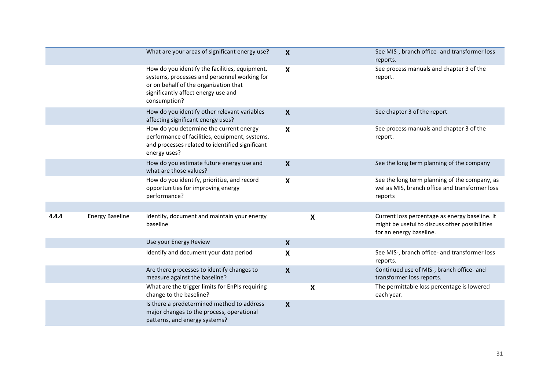|       |                        | What are your areas of significant energy use?                                                                                                                                                 | $\boldsymbol{X}$          |                           | See MIS-, branch office- and transformer loss<br>reports.                                                                   |
|-------|------------------------|------------------------------------------------------------------------------------------------------------------------------------------------------------------------------------------------|---------------------------|---------------------------|-----------------------------------------------------------------------------------------------------------------------------|
|       |                        | How do you identify the facilities, equipment,<br>systems, processes and personnel working for<br>or on behalf of the organization that<br>significantly affect energy use and<br>consumption? | $\boldsymbol{\mathsf{X}}$ |                           | See process manuals and chapter 3 of the<br>report.                                                                         |
|       |                        | How do you identify other relevant variables<br>affecting significant energy uses?                                                                                                             | $\boldsymbol{X}$          |                           | See chapter 3 of the report                                                                                                 |
|       |                        | How do you determine the current energy<br>performance of facilities, equipment, systems,<br>and processes related to identified significant<br>energy uses?                                   | $\boldsymbol{\mathsf{X}}$ |                           | See process manuals and chapter 3 of the<br>report.                                                                         |
|       |                        | How do you estimate future energy use and<br>what are those values?                                                                                                                            | $\boldsymbol{X}$          |                           | See the long term planning of the company                                                                                   |
|       |                        | How do you identify, prioritize, and record<br>opportunities for improving energy<br>performance?                                                                                              | $\boldsymbol{\mathsf{X}}$ |                           | See the long term planning of the company, as<br>wel as MIS, branch office and transformer loss<br>reports                  |
|       |                        |                                                                                                                                                                                                |                           |                           |                                                                                                                             |
| 4.4.4 | <b>Energy Baseline</b> | Identify, document and maintain your energy<br>baseline                                                                                                                                        |                           | X                         | Current loss percentage as energy baseline. It<br>might be useful to discuss other possibilities<br>for an energy baseline. |
|       |                        | Use your Energy Review                                                                                                                                                                         | $\boldsymbol{\mathsf{X}}$ |                           |                                                                                                                             |
|       |                        | Identify and document your data period                                                                                                                                                         | X                         |                           | See MIS-, branch office- and transformer loss<br>reports.                                                                   |
|       |                        | Are there processes to identify changes to<br>measure against the baseline?                                                                                                                    | $\boldsymbol{X}$          |                           | Continued use of MIS-, branch office- and<br>transformer loss reports.                                                      |
|       |                        | What are the trigger limits for EnPIs requiring<br>change to the baseline?                                                                                                                     |                           | $\boldsymbol{\mathsf{X}}$ | The permittable loss percentage is lowered<br>each year.                                                                    |
|       |                        | Is there a predetermined method to address<br>major changes to the process, operational<br>patterns, and energy systems?                                                                       | $\boldsymbol{X}$          |                           |                                                                                                                             |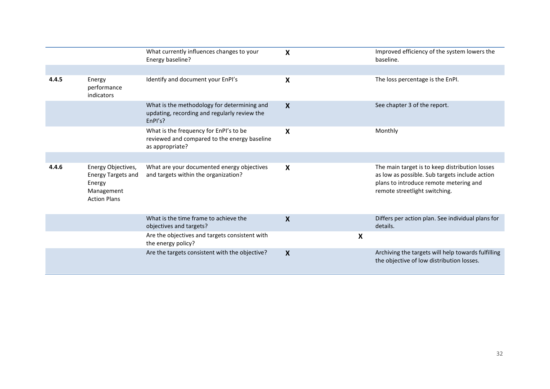|       |                                                                                                | What currently influences changes to your<br>Energy baseline?                                             | $\boldsymbol{X}$          |                           | Improved efficiency of the system lowers the<br>baseline.                                                                                                                   |
|-------|------------------------------------------------------------------------------------------------|-----------------------------------------------------------------------------------------------------------|---------------------------|---------------------------|-----------------------------------------------------------------------------------------------------------------------------------------------------------------------------|
|       |                                                                                                |                                                                                                           |                           |                           |                                                                                                                                                                             |
| 4.4.5 | Energy<br>performance<br>indicators                                                            | Identify and document your EnPI's                                                                         | X                         |                           | The loss percentage is the EnPI.                                                                                                                                            |
|       |                                                                                                | What is the methodology for determining and<br>updating, recording and regularly review the<br>EnPI's?    | $\boldsymbol{\mathsf{X}}$ |                           | See chapter 3 of the report.                                                                                                                                                |
|       |                                                                                                | What is the frequency for EnPI's to be<br>reviewed and compared to the energy baseline<br>as appropriate? | X                         |                           | Monthly                                                                                                                                                                     |
|       |                                                                                                |                                                                                                           |                           |                           |                                                                                                                                                                             |
| 4.4.6 | Energy Objectives,<br><b>Energy Targets and</b><br>Energy<br>Management<br><b>Action Plans</b> | What are your documented energy objectives<br>and targets within the organization?                        | X                         |                           | The main target is to keep distribution losses<br>as low as possible. Sub targets include action<br>plans to introduce remote metering and<br>remote streetlight switching. |
|       |                                                                                                | What is the time frame to achieve the<br>objectives and targets?                                          | $\boldsymbol{X}$          |                           | Differs per action plan. See individual plans for<br>details.                                                                                                               |
|       |                                                                                                | Are the objectives and targets consistent with<br>the energy policy?                                      |                           | $\boldsymbol{\mathsf{X}}$ |                                                                                                                                                                             |
|       |                                                                                                | Are the targets consistent with the objective?                                                            | X                         |                           | Archiving the targets will help towards fulfilling<br>the objective of low distribution losses.                                                                             |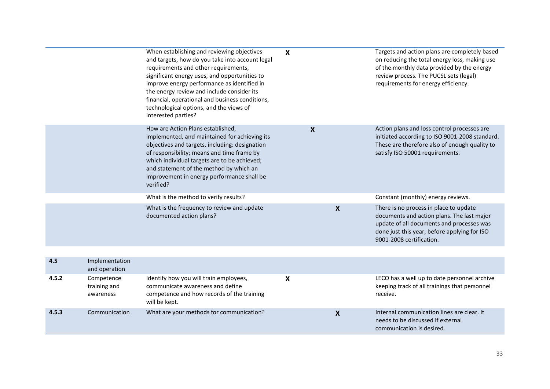|       |                                         | When establishing and reviewing objectives<br>and targets, how do you take into account legal<br>requirements and other requirements,<br>significant energy uses, and opportunities to<br>improve energy performance as identified in<br>the energy review and include consider its<br>financial, operational and business conditions,<br>technological options, and the views of<br>interested parties? | $\boldsymbol{\mathsf{X}}$ |                  | Targets and action plans are completely based<br>on reducing the total energy loss, making use<br>of the monthly data provided by the energy<br>review process. The PUCSL sets (legal)<br>requirements for energy efficiency. |
|-------|-----------------------------------------|----------------------------------------------------------------------------------------------------------------------------------------------------------------------------------------------------------------------------------------------------------------------------------------------------------------------------------------------------------------------------------------------------------|---------------------------|------------------|-------------------------------------------------------------------------------------------------------------------------------------------------------------------------------------------------------------------------------|
|       |                                         | How are Action Plans established,<br>implemented, and maintained for achieving its<br>objectives and targets, including: designation<br>of responsibility; means and time frame by<br>which individual targets are to be achieved;<br>and statement of the method by which an<br>improvement in energy performance shall be<br>verified?                                                                 | $\boldsymbol{X}$          |                  | Action plans and loss control processes are<br>initiated according to ISO 9001-2008 standard.<br>These are therefore also of enough quality to<br>satisfy ISO 50001 requirements.                                             |
|       |                                         | What is the method to verify results?                                                                                                                                                                                                                                                                                                                                                                    |                           |                  | Constant (monthly) energy reviews.                                                                                                                                                                                            |
|       |                                         | What is the frequency to review and update<br>documented action plans?                                                                                                                                                                                                                                                                                                                                   |                           | $\boldsymbol{X}$ | There is no process in place to update<br>documents and action plans. The last major<br>update of all documents and processes was<br>done just this year, before applying for ISO<br>9001-2008 certification.                 |
|       |                                         |                                                                                                                                                                                                                                                                                                                                                                                                          |                           |                  |                                                                                                                                                                                                                               |
| 4.5   | Implementation<br>and operation         |                                                                                                                                                                                                                                                                                                                                                                                                          |                           |                  |                                                                                                                                                                                                                               |
| 4.5.2 | Competence<br>training and<br>awareness | Identify how you will train employees,<br>communicate awareness and define<br>competence and how records of the training<br>will be kept.                                                                                                                                                                                                                                                                | $\boldsymbol{\mathsf{X}}$ |                  | LECO has a well up to date personnel archive<br>keeping track of all trainings that personnel<br>receive.                                                                                                                     |
| 4.5.3 | Communication                           | What are your methods for communication?                                                                                                                                                                                                                                                                                                                                                                 |                           | $\boldsymbol{X}$ | Internal communication lines are clear. It<br>needs to be discussed if external<br>communication is desired.                                                                                                                  |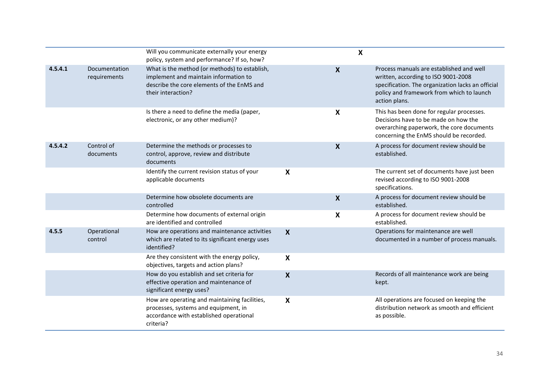|         |                                      | Will you communicate externally your energy<br>policy, system and performance? If so, how?                                                                 |                           | $\boldsymbol{\mathsf{X}}$ |                                                                                                                                                                                                    |
|---------|--------------------------------------|------------------------------------------------------------------------------------------------------------------------------------------------------------|---------------------------|---------------------------|----------------------------------------------------------------------------------------------------------------------------------------------------------------------------------------------------|
| 4.5.4.1 | <b>Documentation</b><br>requirements | What is the method (or methods) to establish,<br>implement and maintain information to<br>describe the core elements of the EnMS and<br>their interaction? |                           | $\boldsymbol{X}$          | Process manuals are established and well<br>written, according to ISO 9001-2008<br>specification. The organization lacks an official<br>policy and framework from which to launch<br>action plans. |
|         |                                      | Is there a need to define the media (paper,<br>electronic, or any other medium)?                                                                           |                           | $\boldsymbol{\mathsf{X}}$ | This has been done for regular processes.<br>Decisions have to be made on how the<br>overarching paperwork, the core documents<br>concerning the EnMS should be recorded.                          |
| 4.5.4.2 | Control of<br>documents              | Determine the methods or processes to<br>control, approve, review and distribute<br>documents                                                              |                           | $\boldsymbol{X}$          | A process for document review should be<br>established.                                                                                                                                            |
|         |                                      | Identify the current revision status of your<br>applicable documents                                                                                       | X                         |                           | The current set of documents have just been<br>revised according to ISO 9001-2008<br>specifications.                                                                                               |
|         |                                      | Determine how obsolete documents are<br>controlled                                                                                                         |                           | $\boldsymbol{\mathsf{X}}$ | A process for document review should be<br>established.                                                                                                                                            |
|         |                                      | Determine how documents of external origin<br>are identified and controlled                                                                                |                           | $\boldsymbol{\mathsf{X}}$ | A process for document review should be<br>established.                                                                                                                                            |
| 4.5.5   | Operational<br>control               | How are operations and maintenance activities<br>which are related to its significant energy uses<br>identified?                                           | $\boldsymbol{\mathsf{X}}$ |                           | Operations for maintenance are well<br>documented in a number of process manuals.                                                                                                                  |
|         |                                      | Are they consistent with the energy policy,<br>objectives, targets and action plans?                                                                       | X                         |                           |                                                                                                                                                                                                    |
|         |                                      | How do you establish and set criteria for<br>effective operation and maintenance of<br>significant energy uses?                                            | X                         |                           | Records of all maintenance work are being<br>kept.                                                                                                                                                 |
|         |                                      | How are operating and maintaining facilities,<br>processes, systems and equipment, in<br>accordance with established operational<br>criteria?              | $\boldsymbol{\mathsf{X}}$ |                           | All operations are focused on keeping the<br>distribution network as smooth and efficient<br>as possible.                                                                                          |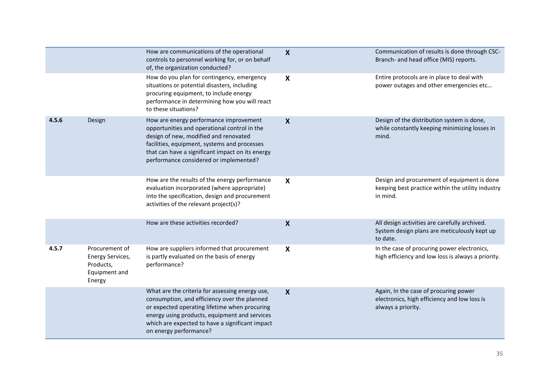|       |                                                                            | How are communications of the operational<br>controls to personnel working for, or on behalf<br>of, the organization conducted?                                                                                                                                                | $\boldsymbol{X}$          | Communication of results is done through CSC-<br>Branch- and head office (MIS) reports.                      |
|-------|----------------------------------------------------------------------------|--------------------------------------------------------------------------------------------------------------------------------------------------------------------------------------------------------------------------------------------------------------------------------|---------------------------|--------------------------------------------------------------------------------------------------------------|
|       |                                                                            | How do you plan for contingency, emergency<br>situations or potential disasters, including<br>procuring equipment, to include energy<br>performance in determining how you will react<br>to these situations?                                                                  | X                         | Entire protocols are in place to deal with<br>power outages and other emergencies etc                        |
| 4.5.6 | Design                                                                     | How are energy performance improvement<br>opportunities and operational control in the<br>design of new, modified and renovated<br>facilities, equipment, systems and processes<br>that can have a significant impact on its energy<br>performance considered or implemented?  | $\boldsymbol{X}$          | Design of the distribution system is done,<br>while constantly keeping minimizing losses in<br>mind.         |
|       |                                                                            | How are the results of the energy performance<br>evaluation incorporated (where appropriate)<br>into the specification, design and procurement<br>activities of the relevant project(s)?                                                                                       | $\boldsymbol{\mathsf{X}}$ | Design and procurement of equipment is done<br>keeping best practice within the utility industry<br>in mind. |
|       |                                                                            | How are these activities recorded?                                                                                                                                                                                                                                             | $\boldsymbol{X}$          | All design activities are carefully archived.<br>System design plans are meticulously kept up<br>to date.    |
| 4.5.7 | Procurement of<br>Energy Services,<br>Products,<br>Equipment and<br>Energy | How are suppliers informed that procurement<br>is partly evaluated on the basis of energy<br>performance?                                                                                                                                                                      | X                         | In the case of procuring power electronics,<br>high efficiency and low loss is always a priority.            |
|       |                                                                            | What are the criteria for assessing energy use,<br>consumption, and efficiency over the planned<br>or expected operating lifetime when procuring<br>energy using products, equipment and services<br>which are expected to have a significant impact<br>on energy performance? | $\boldsymbol{X}$          | Again, In the case of procuring power<br>electronics, high efficiency and low loss is<br>always a priority.  |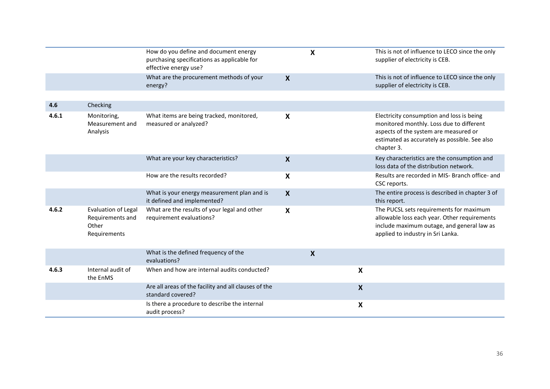|       |                                                                         | How do you define and document energy<br>purchasing specifications as applicable for<br>effective energy use? |                           | X                         |                           | This is not of influence to LECO since the only<br>supplier of electricity is CEB.                                                                                                            |
|-------|-------------------------------------------------------------------------|---------------------------------------------------------------------------------------------------------------|---------------------------|---------------------------|---------------------------|-----------------------------------------------------------------------------------------------------------------------------------------------------------------------------------------------|
|       |                                                                         | What are the procurement methods of your<br>energy?                                                           | $\boldsymbol{X}$          |                           |                           | This is not of influence to LECO since the only<br>supplier of electricity is CEB.                                                                                                            |
|       |                                                                         |                                                                                                               |                           |                           |                           |                                                                                                                                                                                               |
| 4.6   | Checking                                                                |                                                                                                               |                           |                           |                           |                                                                                                                                                                                               |
| 4.6.1 | Monitoring,<br>Measurement and<br>Analysis                              | What items are being tracked, monitored,<br>measured or analyzed?                                             | X                         |                           |                           | Electricity consumption and loss is being<br>monitored monthly. Loss due to different<br>aspects of the system are measured or<br>estimated as accurately as possible. See also<br>chapter 3. |
|       |                                                                         | What are your key characteristics?                                                                            | $\boldsymbol{X}$          |                           |                           | Key characteristics are the consumption and<br>loss data of the distribution network.                                                                                                         |
|       |                                                                         | How are the results recorded?                                                                                 | X                         |                           |                           | Results are recorded in MIS- Branch office- and<br>CSC reports.                                                                                                                               |
|       |                                                                         | What is your energy measurement plan and is<br>it defined and implemented?                                    | X                         |                           |                           | The entire process is described in chapter 3 of<br>this report.                                                                                                                               |
| 4.6.2 | <b>Evaluation of Legal</b><br>Requirements and<br>Other<br>Requirements | What are the results of your legal and other<br>requirement evaluations?                                      | $\boldsymbol{\mathsf{X}}$ |                           |                           | The PUCSL sets requirements for maximum<br>allowable loss each year. Other requirements<br>include maximum outage, and general law as<br>applied to industry in Sri Lanka.                    |
|       |                                                                         | What is the defined frequency of the<br>evaluations?                                                          |                           | $\boldsymbol{\mathsf{X}}$ |                           |                                                                                                                                                                                               |
| 4.6.3 | Internal audit of<br>the EnMS                                           | When and how are internal audits conducted?                                                                   |                           |                           | $\boldsymbol{\mathsf{X}}$ |                                                                                                                                                                                               |
|       |                                                                         | Are all areas of the facility and all clauses of the<br>standard covered?                                     |                           |                           | $\boldsymbol{X}$          |                                                                                                                                                                                               |
|       |                                                                         | Is there a procedure to describe the internal<br>audit process?                                               |                           |                           | X                         |                                                                                                                                                                                               |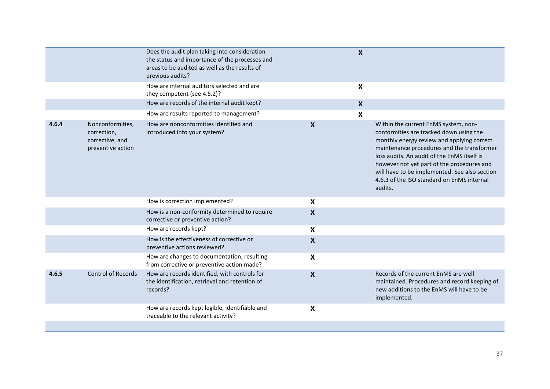|       |                                                                         | Does the audit plan taking into consideration<br>the status and importance of the processes and<br>areas to be audited as well as the results of<br>previous audits?<br>How are internal auditors selected and are<br>they competent (see 4.5.2)? |                  | $\boldsymbol{X}$<br>X |                                                                                                                                                                                                                                                                                                                                                                                    |
|-------|-------------------------------------------------------------------------|---------------------------------------------------------------------------------------------------------------------------------------------------------------------------------------------------------------------------------------------------|------------------|-----------------------|------------------------------------------------------------------------------------------------------------------------------------------------------------------------------------------------------------------------------------------------------------------------------------------------------------------------------------------------------------------------------------|
|       |                                                                         | How are records of the internal audit kept?                                                                                                                                                                                                       |                  | $\boldsymbol{X}$      |                                                                                                                                                                                                                                                                                                                                                                                    |
|       |                                                                         | How are results reported to management?                                                                                                                                                                                                           |                  | X                     |                                                                                                                                                                                                                                                                                                                                                                                    |
| 4.6.4 | Nonconformities,<br>correction,<br>corrective, and<br>preventive action | How are nonconformities identified and<br>introduced into your system?                                                                                                                                                                            | $\boldsymbol{X}$ |                       | Within the current EnMS system, non-<br>conformities are tracked down using the<br>monthly energy review and applying correct<br>maintenance procedures and the transformer<br>loss audits. An audit of the EnMS itself is<br>however not yet part of the procedures and<br>will have to be implemented. See also section<br>4.6.3 of the ISO standard on EnMS internal<br>audits. |
|       |                                                                         | How is correction implemented?                                                                                                                                                                                                                    | X                |                       |                                                                                                                                                                                                                                                                                                                                                                                    |
|       |                                                                         | How is a non-conformity determined to require<br>corrective or preventive action?                                                                                                                                                                 | X                |                       |                                                                                                                                                                                                                                                                                                                                                                                    |
|       |                                                                         | How are records kept?                                                                                                                                                                                                                             | X                |                       |                                                                                                                                                                                                                                                                                                                                                                                    |
|       |                                                                         | How is the effectiveness of corrective or<br>preventive actions reviewed?                                                                                                                                                                         | X                |                       |                                                                                                                                                                                                                                                                                                                                                                                    |
|       |                                                                         | How are changes to documentation, resulting<br>from corrective or preventive action made?                                                                                                                                                         | X                |                       |                                                                                                                                                                                                                                                                                                                                                                                    |
| 4.6.5 | <b>Control of Records</b>                                               | How are records identified, with controls for<br>the identification, retrieval and retention of<br>records?                                                                                                                                       | X                |                       | Records of the current EnMS are well<br>maintained. Procedures and record keeping of<br>new additions to the EnMS will have to be<br>implemented.                                                                                                                                                                                                                                  |
|       |                                                                         | How are records kept legible, identifiable and<br>traceable to the relevant activity?                                                                                                                                                             | X                |                       |                                                                                                                                                                                                                                                                                                                                                                                    |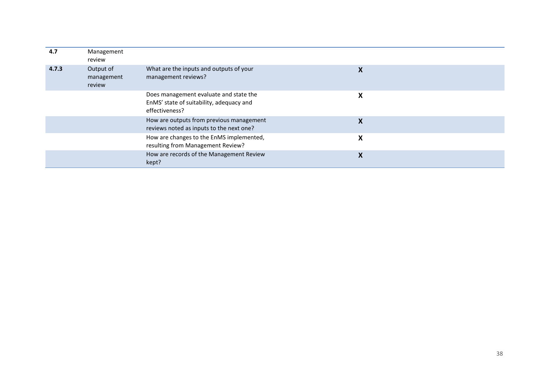| 4.7   | Management<br>review              |                                                                                                      |   |
|-------|-----------------------------------|------------------------------------------------------------------------------------------------------|---|
| 4.7.3 | Output of<br>management<br>review | What are the inputs and outputs of your<br>management reviews?                                       | X |
|       |                                   | Does management evaluate and state the<br>EnMS' state of suitability, adequacy and<br>effectiveness? | X |
|       |                                   | How are outputs from previous management<br>reviews noted as inputs to the next one?                 | X |
|       |                                   | How are changes to the EnMS implemented,<br>resulting from Management Review?                        | X |
|       |                                   | How are records of the Management Review<br>kept?                                                    | Χ |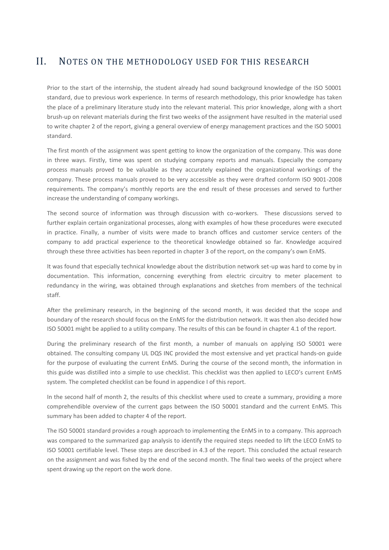## <span id="page-38-0"></span>II. NOTES ON THE METHODOLOGY USED FOR THIS RESEARCH

Prior to the start of the internship, the student already had sound background knowledge of the ISO 50001 standard, due to previous work experience. In terms of research methodology, this prior knowledge has taken the place of a preliminary literature study into the relevant material. This prior knowledge, along with a short brush-up on relevant materials during the first two weeks of the assignment have resulted in the material used to write chapter 2 of the report, giving a general overview of energy management practices and the ISO 50001 standard.

The first month of the assignment was spent getting to know the organization of the company. This was done in three ways. Firstly, time was spent on studying company reports and manuals. Especially the company process manuals proved to be valuable as they accurately explained the organizational workings of the company. These process manuals proved to be very accessible as they were drafted conform ISO 9001-2008 requirements. The company's monthly reports are the end result of these processes and served to further increase the understanding of company workings.

The second source of information was through discussion with co-workers. These discussions served to further explain certain organizational processes, along with examples of how these procedures were executed in practice. Finally, a number of visits were made to branch offices and customer service centers of the company to add practical experience to the theoretical knowledge obtained so far. Knowledge acquired through these three activities has been reported in chapter 3 of the report, on the company's own EnMS.

It was found that especially technical knowledge about the distribution network set-up was hard to come by in documentation. This information, concerning everything from electric circuitry to meter placement to redundancy in the wiring, was obtained through explanations and sketches from members of the technical staff.

After the preliminary research, in the beginning of the second month, it was decided that the scope and boundary of the research should focus on the EnMS for the distribution network. It was then also decided how ISO 50001 might be applied to a utility company. The results of this can be found in chapter 4.1 of the report.

During the preliminary research of the first month, a number of manuals on applying ISO 50001 were obtained. The consulting company UL DQS INC provided the most extensive and yet practical hands-on guide for the purpose of evaluating the current EnMS. During the course of the second month, the information in this guide was distilled into a simple to use checklist. This checklist was then applied to LECO's current EnMS system. The completed checklist can be found in appendice I of this report.

In the second half of month 2, the results of this checklist where used to create a summary, providing a more comprehendible overview of the current gaps between the ISO 50001 standard and the current EnMS. This summary has been added to chapter 4 of the report.

The ISO 50001 standard provides a rough approach to implementing the EnMS in to a company. This approach was compared to the summarized gap analysis to identify the required steps needed to lift the LECO EnMS to ISO 50001 certifiable level. These steps are described in 4.3 of the report. This concluded the actual research on the assignment and was fished by the end of the second month. The final two weeks of the project where spent drawing up the report on the work done.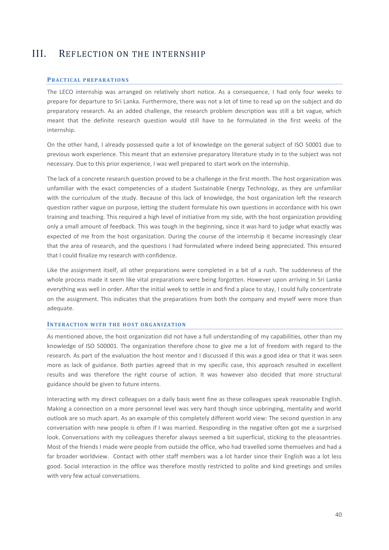## <span id="page-39-0"></span>III. REFLECTION ON THE INTERNSHIP

#### **PRACTICAL PREPARATIONS**

The LECO internship was arranged on relatively short notice. As a consequence, I had only four weeks to prepare for departure to Sri Lanka. Furthermore, there was not a lot of time to read up on the subject and do preparatory research. As an added challenge, the research problem description was still a bit vague, which meant that the definite research question would still have to be formulated in the first weeks of the internship.

On the other hand, I already possessed quite a lot of knowledge on the general subject of ISO 50001 due to previous work experience. This meant that an extensive preparatory literature study in to the subject was not necessary. Due to this prior experience, I was well prepared to start work on the internship.

The lack of a concrete research question proved to be a challenge in the first month. The host organization was unfamiliar with the exact competencies of a student Sustainable Energy Technology, as they are unfamiliar with the curriculum of the study. Because of this lack of knowledge, the host organization left the research question rather vague on purpose, letting the student formulate his own questions in accordance with his own training and teaching. This required a high level of initiative from my side, with the host organization providing only a small amount of feedback. This was tough in the beginning, since it was hard to judge what exactly was expected of me from the host organization. During the course of the internship it became increasingly clear that the area of research, and the questions I had formulated where indeed being appreciated. This ensured that I could finalize my research with confidence.

Like the assignment itself, all other preparations were completed in a bit of a rush. The suddenness of the whole process made it seem like vital preparations were being forgotten. However upon arriving in Sri Lanka everything was well in order. After the initial week to settle in and find a place to stay, I could fully concentrate on the assignment. This indicates that the preparations from both the company and myself were more than adequate.

#### **INTERACTION WITH THE HOST ORGANIZATION**

As mentioned above, the host organization did not have a full understanding of my capabilities, other than my knowledge of ISO 500001. The organization therefore chose to give me a lot of freedom with regard to the research. As part of the evaluation the host mentor and I discussed if this was a good idea or that it was seen more as lack of guidance. Both parties agreed that in my specific case, this approach resulted in excellent results and was therefore the right course of action. It was however also decided that more structural guidance should be given to future interns.

Interacting with my direct colleagues on a daily basis went fine as these colleagues speak reasonable English. Making a connection on a more personnel level was very hard though since upbringing, mentality and world outlook are so much apart. As an example of this completely different world view: The second question in any conversation with new people is often if I was married. Responding in the negative often got me a surprised look. Conversations with my colleagues therefor always seemed a bit superficial, sticking to the pleasantries. Most of the friends I made were people from outside the office, who had travelled some themselves and had a far broader worldview. Contact with other staff members was a lot harder since their English was a lot less good. Social interaction in the office was therefore mostly restricted to polite and kind greetings and smiles with very few actual conversations.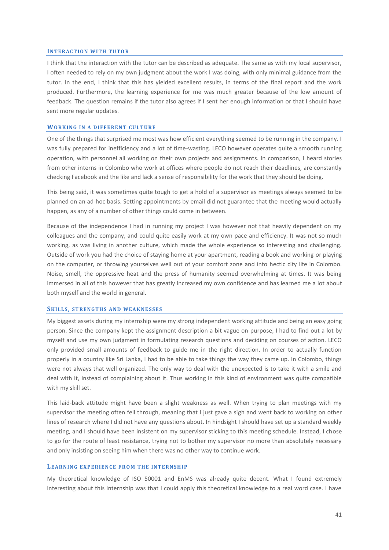#### **INTERACTION WITH TUTOR**

I think that the interaction with the tutor can be described as adequate. The same as with my local supervisor, I often needed to rely on my own judgment about the work I was doing, with only minimal guidance from the tutor. In the end, I think that this has yielded excellent results, in terms of the final report and the work produced. Furthermore, the learning experience for me was much greater because of the low amount of feedback. The question remains if the tutor also agrees if I sent her enough information or that I should have sent more regular updates.

#### **WORKING IN A DIFFERENT CULTURE**

One of the things that surprised me most was how efficient everything seemed to be running in the company. I was fully prepared for inefficiency and a lot of time-wasting. LECO however operates quite a smooth running operation, with personnel all working on their own projects and assignments. In comparison, I heard stories from other interns in Colombo who work at offices where people do not reach their deadlines, are constantly checking Facebook and the like and lack a sense of responsibility for the work that they should be doing.

This being said, it was sometimes quite tough to get a hold of a supervisor as meetings always seemed to be planned on an ad-hoc basis. Setting appointments by email did not guarantee that the meeting would actually happen, as any of a number of other things could come in between.

Because of the independence I had in running my project I was however not that heavily dependent on my colleagues and the company, and could quite easily work at my own pace and efficiency. It was not so much working, as was living in another culture, which made the whole experience so interesting and challenging. Outside of work you had the choice of staying home at your apartment, reading a book and working or playing on the computer, or throwing yourselves well out of your comfort zone and into hectic city life in Colombo. Noise, smell, the oppressive heat and the press of humanity seemed overwhelming at times. It was being immersed in all of this however that has greatly increased my own confidence and has learned me a lot about both myself and the world in general.

#### **SK I L L S , S T R E N G T H S A N D W E A K N E S S E S**

My biggest assets during my internship were my strong independent working attitude and being an easy going person. Since the company kept the assignment description a bit vague on purpose, I had to find out a lot by myself and use my own judgment in formulating research questions and deciding on courses of action. LECO only provided small amounts of feedback to guide me in the right direction. In order to actually function properly in a country like Sri Lanka, I had to be able to take things the way they came up. In Colombo, things were not always that well organized. The only way to deal with the unexpected is to take it with a smile and deal with it, instead of complaining about it. Thus working in this kind of environment was quite compatible with my skill set.

This laid-back attitude might have been a slight weakness as well. When trying to plan meetings with my supervisor the meeting often fell through, meaning that I just gave a sigh and went back to working on other lines of research where I did not have any questions about. In hindsight I should have set up a standard weekly meeting, and I should have been insistent on my supervisor sticking to this meeting schedule. Instead, I chose to go for the route of least resistance, trying not to bother my supervisor no more than absolutely necessary and only insisting on seeing him when there was no other way to continue work.

#### LEARNING EXPERIENCE FROM THE INTERNSHIP

My theoretical knowledge of ISO 50001 and EnMS was already quite decent. What I found extremely interesting about this internship was that I could apply this theoretical knowledge to a real word case. I have